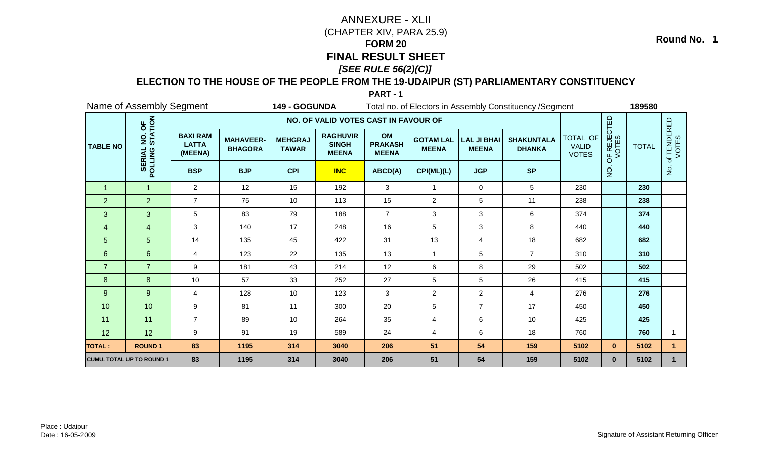### **ELECTION TO THE HOUSE OF THE PEOPLE FROM THE 19-UDAIPUR (ST) PARLIAMENTARY CONSTITUENCY**

**PART - 1**

|                 | Name of Assembly Segment         |                                            |                                    | 149 - GOGUNDA                  |                                                 |                                      |                                  |                                    | Total no. of Electors in Assembly Constituency / Segment |                                          |                      | 189580       |                          |
|-----------------|----------------------------------|--------------------------------------------|------------------------------------|--------------------------------|-------------------------------------------------|--------------------------------------|----------------------------------|------------------------------------|----------------------------------------------------------|------------------------------------------|----------------------|--------------|--------------------------|
|                 |                                  |                                            |                                    |                                | NO. OF VALID VOTES CAST IN FAVOUR OF            |                                      |                                  |                                    |                                                          |                                          |                      |              |                          |
| <b>TABLE NO</b> | NO. OF<br>STATION                | <b>BAXI RAM</b><br><b>LATTA</b><br>(MEENA) | <b>MAHAVEER-</b><br><b>BHAGORA</b> | <b>MEHGRAJ</b><br><b>TAWAR</b> | <b>RAGHUVIR</b><br><b>SINGH</b><br><b>MEENA</b> | OM<br><b>PRAKASH</b><br><b>MEENA</b> | <b>GOTAM LAL</b><br><b>MEENA</b> | <b>LAL JI BHAI</b><br><b>MEENA</b> | <b>SHAKUNTALA</b><br><b>DHANKA</b>                       | TOTAL OF<br><b>VALID</b><br><b>VOTES</b> | OF REJECTED<br>VOTES | <b>TOTAL</b> | f TENDERED<br>VOTES<br>đ |
|                 | POLLING                          | <b>BSP</b>                                 | <b>BJP</b>                         | <b>CPI</b>                     | <b>INC</b>                                      | ABCD(A)                              | CPI(ML)(L)                       | <b>JGP</b>                         | <b>SP</b>                                                |                                          | $\overline{5}$       |              | $\frac{1}{2}$            |
| $\overline{1}$  | $\mathbf{1}$                     | $\overline{2}$                             | 12                                 | 15                             | 192                                             | 3                                    | $\mathbf{1}$                     | 0                                  | 5                                                        | 230                                      |                      | 230          |                          |
| $\overline{2}$  | $\overline{2}$                   | $\overline{7}$                             | 75                                 | 10 <sup>1</sup>                | 113                                             | 15                                   | $\overline{2}$                   | 5                                  | 11                                                       | 238                                      |                      | 238          |                          |
| 3               | 3                                | 5                                          | 83                                 | 79                             | 188                                             | $\overline{7}$                       | 3                                | 3                                  | 6                                                        | 374                                      |                      | 374          |                          |
| $\overline{4}$  | 4                                | 3                                          | 140                                | 17                             | 248                                             | 16                                   | 5                                | 3                                  | 8                                                        | 440                                      |                      | 440          |                          |
| 5               | 5                                | 14                                         | 135                                | 45                             | 422                                             | 31                                   | 13                               | 4                                  | 18                                                       | 682                                      |                      | 682          |                          |
| $6\phantom{1}$  | 6                                | $\overline{4}$                             | 123                                | 22                             | 135                                             | 13                                   | $\mathbf{1}$                     | 5                                  | $\overline{7}$                                           | 310                                      |                      | 310          |                          |
| $\overline{7}$  | $\overline{7}$                   | 9                                          | 181                                | 43                             | 214                                             | 12                                   | 6                                | 8                                  | 29                                                       | 502                                      |                      | 502          |                          |
| 8               | 8                                | 10                                         | 57                                 | 33                             | 252                                             | 27                                   | 5                                | 5                                  | 26                                                       | 415                                      |                      | 415          |                          |
| 9               | 9                                | $\overline{4}$                             | 128                                | 10                             | 123                                             | 3                                    | $\overline{c}$                   | $\overline{2}$                     | $\overline{4}$                                           | 276                                      |                      | 276          |                          |
| 10              | 10                               | $\boldsymbol{9}$                           | 81                                 | 11                             | 300                                             | 20                                   | 5                                | $\overline{7}$                     | 17                                                       | 450                                      |                      | 450          |                          |
| 11              | 11                               | $\overline{7}$                             | 89                                 | 10                             | 264                                             | 35                                   | 4                                | 6                                  | 10                                                       | 425                                      |                      | 425          |                          |
| 12              | 12                               | 9                                          | 91                                 | 19                             | 589                                             | 24                                   | 4                                | 6                                  | 18                                                       | 760                                      |                      | 760          | 1                        |
| <b>TOTAL:</b>   | <b>ROUND1</b>                    | 83                                         | 1195                               | 314                            | 3040                                            | 206                                  | 51                               | 54                                 | 159                                                      | 5102                                     | $\mathbf{0}$         | 5102         | 1                        |
|                 | <b>CUMU. TOTAL UP TO ROUND 1</b> | 83                                         | 1195                               | 314                            | 3040                                            | 206                                  | 51                               | 54                                 | 159                                                      | 5102                                     | $\mathbf{0}$         | 5102         |                          |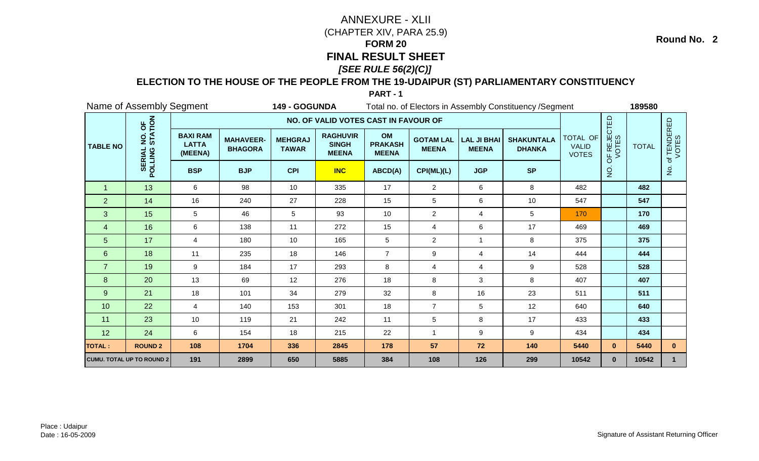### **ELECTION TO THE HOUSE OF THE PEOPLE FROM THE 19-UDAIPUR (ST) PARLIAMENTARY CONSTITUENCY**

**PART - 1**

|                 | Name of Assembly Segment         |                                            |                                    | 149 - GOGUNDA                  |                                                 |                                      |                                  |                                    | Total no. of Electors in Assembly Constituency / Segment |                                          |                      | 189580       |                      |
|-----------------|----------------------------------|--------------------------------------------|------------------------------------|--------------------------------|-------------------------------------------------|--------------------------------------|----------------------------------|------------------------------------|----------------------------------------------------------|------------------------------------------|----------------------|--------------|----------------------|
|                 |                                  |                                            |                                    |                                | NO. OF VALID VOTES CAST IN FAVOUR OF            |                                      |                                  |                                    |                                                          |                                          |                      |              |                      |
| <b>TABLE NO</b> | NO. OF<br>STATION<br><u>o</u>    | <b>BAXI RAM</b><br><b>LATTA</b><br>(MEENA) | <b>MAHAVEER-</b><br><b>BHAGORA</b> | <b>MEHGRAJ</b><br><b>TAWAR</b> | <b>RAGHUVIR</b><br><b>SINGH</b><br><b>MEENA</b> | OM<br><b>PRAKASH</b><br><b>MEENA</b> | <b>GOTAM LAL</b><br><b>MEENA</b> | <b>LAL JI BHAI</b><br><b>MEENA</b> | <b>SHAKUNTALA</b><br><b>DHANKA</b>                       | TOTAL OF<br><b>VALID</b><br><b>VOTES</b> | OF REJECTED<br>VOTES | <b>TOTAL</b> | of TENDERED<br>VOTES |
|                 | POLLING                          | <b>BSP</b>                                 | <b>BJP</b>                         | <b>CPI</b>                     | <b>INC</b>                                      | ABCD(A)                              | CPI(ML)(L)                       | <b>JGP</b>                         | <b>SP</b>                                                |                                          | g                    |              | $\frac{1}{2}$        |
| $\overline{1}$  | 13                               | 6                                          | 98                                 | 10                             | 335                                             | 17                                   | $\overline{2}$                   | 6                                  | 8                                                        | 482                                      |                      | 482          |                      |
| $\overline{2}$  | 14                               | 16                                         | 240                                | 27                             | 228                                             | 15                                   | 5                                | 6                                  | 10                                                       | 547                                      |                      | 547          |                      |
| 3               | 15                               | 5                                          | 46                                 | 5                              | 93                                              | 10                                   | $\overline{c}$                   | 4                                  | 5                                                        | 170                                      |                      | 170          |                      |
| 4               | 16                               | 6                                          | 138                                | 11                             | 272                                             | 15                                   | 4                                | 6                                  | 17                                                       | 469                                      |                      | 469          |                      |
| 5               | 17                               | $\overline{4}$                             | 180                                | 10                             | 165                                             | 5                                    | $\overline{2}$                   |                                    | 8                                                        | 375                                      |                      | 375          |                      |
| $\,6\,$         | 18                               | 11                                         | 235                                | 18                             | 146                                             | $\overline{7}$                       | 9                                | 4                                  | 14                                                       | 444                                      |                      | 444          |                      |
| $\overline{7}$  | 19                               | 9                                          | 184                                | 17                             | 293                                             | 8                                    | 4                                | 4                                  | 9                                                        | 528                                      |                      | 528          |                      |
| 8               | 20                               | 13                                         | 69                                 | 12                             | 276                                             | 18                                   | 8                                | 3                                  | 8                                                        | 407                                      |                      | 407          |                      |
| 9               | 21                               | 18                                         | 101                                | 34                             | 279                                             | 32                                   | 8                                | 16                                 | 23                                                       | 511                                      |                      | 511          |                      |
| 10              | 22                               | $\overline{4}$                             | 140                                | 153                            | 301                                             | 18                                   | $\overline{7}$                   | 5                                  | 12                                                       | 640                                      |                      | 640          |                      |
| 11              | 23                               | 10                                         | 119                                | 21                             | 242                                             | 11                                   | 5                                | 8                                  | 17                                                       | 433                                      |                      | 433          |                      |
| 12              | 24                               | 6                                          | 154                                | 18                             | 215                                             | 22                                   | 1                                | 9                                  | 9                                                        | 434                                      |                      | 434          |                      |
| <b>TOTAL:</b>   | <b>ROUND 2</b>                   | 108                                        | 1704                               | 336                            | 2845                                            | 178                                  | 57                               | 72                                 | 140                                                      | 5440                                     | $\mathbf{0}$         | 5440         | $\mathbf{0}$         |
|                 | <b>CUMU. TOTAL UP TO ROUND 2</b> | 191                                        | 2899                               | 650                            | 5885                                            | 384                                  | 108                              | 126                                | 299                                                      | 10542                                    | $\mathbf{0}$         | 10542        | $\mathbf{1}$         |

Place : UdaipurDate : 16-05-2009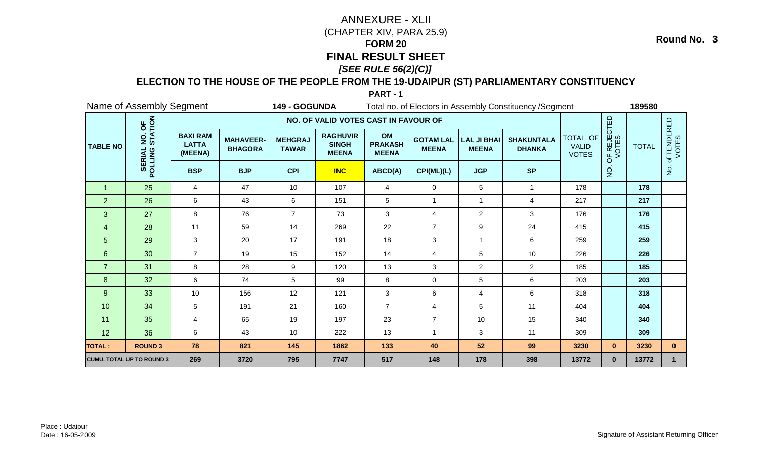### **ELECTION TO THE HOUSE OF THE PEOPLE FROM THE 19-UDAIPUR (ST) PARLIAMENTARY CONSTITUENCY**

**PART - 1**

|                 | Name of Assembly Segment         |                                            |                                    | 149 - GOGUNDA                  |                                                 |                                      |                                  |                                    | Total no. of Electors in Assembly Constituency / Segment |                                          |                      | 189580       |                                 |
|-----------------|----------------------------------|--------------------------------------------|------------------------------------|--------------------------------|-------------------------------------------------|--------------------------------------|----------------------------------|------------------------------------|----------------------------------------------------------|------------------------------------------|----------------------|--------------|---------------------------------|
|                 |                                  |                                            |                                    |                                | NO. OF VALID VOTES CAST IN FAVOUR OF            |                                      |                                  |                                    |                                                          |                                          |                      |              |                                 |
| <b>TABLE NO</b> | NO. OF<br>STATION                | <b>BAXI RAM</b><br><b>LATTA</b><br>(MEENA) | <b>MAHAVEER-</b><br><b>BHAGORA</b> | <b>MEHGRAJ</b><br><b>TAWAR</b> | <b>RAGHUVIR</b><br><b>SINGH</b><br><b>MEENA</b> | OM<br><b>PRAKASH</b><br><b>MEENA</b> | <b>GOTAM LAL</b><br><b>MEENA</b> | <b>LAL JI BHAI</b><br><b>MEENA</b> | <b>SHAKUNTALA</b><br><b>DHANKA</b>                       | TOTAL OF<br><b>VALID</b><br><b>VOTES</b> | OF REJECTED<br>VOTES | <b>TOTAL</b> | <b>f TENDERED</b><br>VOTES<br>đ |
|                 | <b>SERIAL</b><br>POLLING         | <b>BSP</b>                                 | <b>BJP</b>                         | <b>CPI</b>                     | <b>INC</b>                                      | <b>SP</b>                            |                                  | $\overline{5}$                     |                                                          | $\frac{5}{2}$                            |                      |              |                                 |
| $\overline{1}$  | 25                               | $\overline{4}$                             | 47                                 | 10                             | 107                                             | $\overline{4}$                       | $\mathbf 0$                      | 5                                  | $\overline{1}$                                           | 178                                      |                      | 178          |                                 |
| $\overline{2}$  | 26                               | 6                                          | 43                                 | 6                              | 151                                             | $5\phantom{.0}$                      | 1                                | $\mathbf{1}$                       | $\overline{4}$                                           | 217                                      |                      | 217          |                                 |
| 3               | 27                               | 8                                          | 76                                 | $\overline{7}$                 | 73                                              | 3                                    | 4                                | $\overline{2}$                     | 3                                                        | 176                                      |                      | 176          |                                 |
| 4               | 28                               | 11                                         | 59                                 | 14                             | 269                                             | 22                                   | $\overline{7}$                   | 9                                  | 24                                                       | 415                                      |                      | 415          |                                 |
| 5               | 29                               | 3                                          | 20                                 | 17                             | 191                                             | 18                                   | 3                                | -1                                 | 6                                                        | 259                                      |                      | 259          |                                 |
| 6               | 30                               | $\overline{7}$                             | 19                                 | 15                             | 152                                             | 14                                   | 4                                | 5                                  | 10                                                       | 226                                      |                      | 226          |                                 |
| $\overline{7}$  | 31                               | 8                                          | 28                                 | 9                              | 120                                             | 13                                   | 3                                | $\overline{2}$                     | $\overline{2}$                                           | 185                                      |                      | 185          |                                 |
| 8               | 32                               | 6                                          | 74                                 | 5                              | 99                                              | 8                                    | $\mathbf 0$                      | 5                                  | 6                                                        | 203                                      |                      | 203          |                                 |
| $\overline{9}$  | 33                               | 10                                         | 156                                | 12                             | 121                                             | 3                                    | 6                                | $\overline{4}$                     | 6                                                        | 318                                      |                      | 318          |                                 |
| 10              | 34                               | 5                                          | 191                                | 21                             | 160                                             | $\overline{7}$                       | 4                                | 5                                  | 11                                                       | 404                                      |                      | 404          |                                 |
| 11              | 35                               | 4                                          | 65                                 | 19                             | 197                                             | 23                                   | $\overline{7}$                   | 10                                 | 15                                                       | 340                                      |                      | 340          |                                 |
| 12              | 36                               | 6                                          | 43                                 | 10                             | 222                                             | 13                                   | 1                                | 3                                  | 11                                                       | 309                                      |                      | 309          |                                 |
| <b>TOTAL:</b>   | <b>ROUND 3</b>                   | 78                                         | 821                                | 145                            | 1862                                            | 133                                  | 40                               | 52                                 | 99                                                       | 3230                                     | $\mathbf{0}$         | 3230         | $\mathbf{0}$                    |
|                 | <b>CUMU. TOTAL UP TO ROUND 3</b> | 269                                        | 3720                               | 795                            | 7747                                            | 517                                  | 148                              | 178                                | 398                                                      | 13772                                    | $\mathbf{0}$         | 13772        | $\mathbf{1}$                    |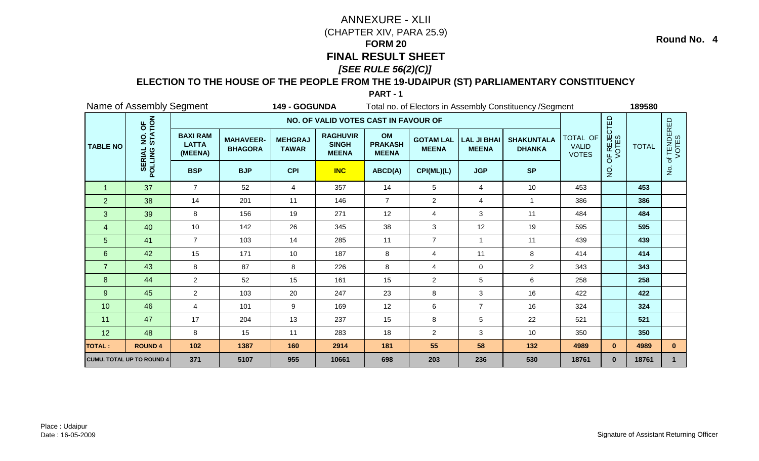### **ELECTION TO THE HOUSE OF THE PEOPLE FROM THE 19-UDAIPUR (ST) PARLIAMENTARY CONSTITUENCY**

**PART - 1**

|                 | Name of Assembly Segment  |                                            |                                    | 149 - GOGUNDA                  |                                                 |                                      |                                  |                                    | Total no. of Electors in Assembly Constituency / Segment |                                          |                      | 189580       |                          |
|-----------------|---------------------------|--------------------------------------------|------------------------------------|--------------------------------|-------------------------------------------------|--------------------------------------|----------------------------------|------------------------------------|----------------------------------------------------------|------------------------------------------|----------------------|--------------|--------------------------|
|                 |                           |                                            |                                    |                                | NO. OF VALID VOTES CAST IN FAVOUR OF            |                                      |                                  |                                    |                                                          |                                          |                      |              |                          |
| <b>TABLE NO</b> | NO. OF<br>STATION         | <b>BAXI RAM</b><br><b>LATTA</b><br>(MEENA) | <b>MAHAVEER-</b><br><b>BHAGORA</b> | <b>MEHGRAJ</b><br><b>TAWAR</b> | <b>RAGHUVIR</b><br><b>SINGH</b><br><b>MEENA</b> | OM<br><b>PRAKASH</b><br><b>MEENA</b> | <b>GOTAM LAL</b><br><b>MEENA</b> | <b>LAL JI BHAI</b><br><b>MEENA</b> | <b>SHAKUNTALA</b><br><b>DHANKA</b>                       | TOTAL OF<br><b>VALID</b><br><b>VOTES</b> | OF REJECTED<br>VOTES | <b>TOTAL</b> | f TENDERED<br>VOTES<br>đ |
|                 | <b>SERIAL</b><br>POLLING  | <b>BSP</b>                                 | <b>BJP</b>                         | <b>CPI</b>                     | <b>INC</b>                                      | ABCD(A)                              | CPI(ML)(L)                       | <b>JGP</b>                         | <b>SP</b>                                                |                                          | $\overline{5}$       |              | $\frac{5}{2}$            |
| $\overline{1}$  | 37                        | $\overline{7}$                             | 52                                 | 4                              | 357                                             | 14                                   | 5                                | $\overline{4}$                     | 10                                                       | 453                                      |                      | 453          |                          |
| $\overline{2}$  | 38                        | 14                                         | 201                                | 11                             | 146                                             | $\overline{7}$                       | $\overline{2}$                   | $\overline{4}$                     | $\overline{1}$                                           | 386                                      |                      | 386          |                          |
| 3               | 39                        | 8                                          | 156                                | 19                             | 271                                             | 12                                   | 4                                | 3                                  | 11                                                       | 484                                      |                      | 484          |                          |
| 4               | 40                        | 10                                         | 142                                | 26                             | 345                                             | 38                                   | 3                                | 12                                 | 19                                                       | 595                                      |                      | 595          |                          |
| 5               | 41                        | $\overline{7}$                             | 103                                | 14                             | 285                                             | 11                                   | $\overline{7}$                   | -1                                 | 11                                                       | 439                                      |                      | 439          |                          |
| $6\phantom{1}$  | 42                        | 15                                         | 171                                | 10                             | 187                                             | $\,8\,$                              | 4                                | 11                                 | 8                                                        | 414                                      |                      | 414          |                          |
| $\overline{7}$  | 43                        | 8                                          | 87                                 | 8                              | 226                                             | 8                                    | 4                                | $\mathbf 0$                        | $\overline{2}$                                           | 343                                      |                      | 343          |                          |
| 8               | 44                        | $\overline{2}$                             | 52                                 | 15                             | 161                                             | 15                                   | $\overline{2}$                   | 5                                  | 6                                                        | 258                                      |                      | 258          |                          |
| $9\,$           | 45                        | $\overline{2}$                             | 103                                | 20                             | 247                                             | 23                                   | 8                                | 3                                  | 16                                                       | 422                                      |                      | 422          |                          |
| 10              | 46                        | $\overline{4}$                             | 101                                | 9                              | 169                                             | 12                                   | $\,6\,$                          | $\overline{7}$                     | 16                                                       | 324                                      |                      | 324          |                          |
| 11              | 47                        | 17                                         | 204                                | 13                             | 237                                             | 15                                   | 8                                | 5                                  | 22                                                       | 521                                      |                      | 521          |                          |
| 12              | 48                        | 8                                          | 15                                 | 11                             | 283                                             | 18                                   | $\overline{2}$                   | 3                                  | 10                                                       | 350                                      |                      | 350          |                          |
| <b>TOTAL:</b>   | <b>ROUND 4</b>            | $102$                                      | 1387                               | 160                            | 2914                                            | 181                                  | 55                               | 58                                 | 132                                                      | 4989                                     | $\mathbf{0}$         | 4989         | $\mathbf{0}$             |
|                 | CUMU. TOTAL UP TO ROUND 4 | 371                                        | 5107                               | 955                            | 10661                                           | 698                                  | 203                              | 236                                | 530                                                      | 18761                                    | $\mathbf{0}$         | 18761        | $\mathbf{1}$             |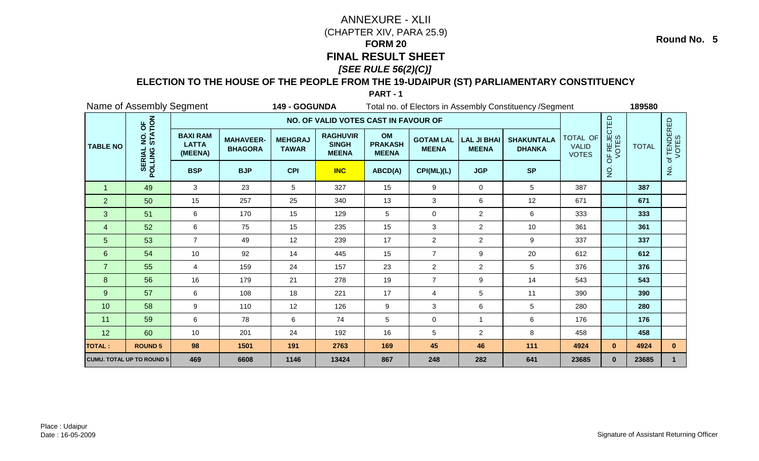### **ELECTION TO THE HOUSE OF THE PEOPLE FROM THE 19-UDAIPUR (ST) PARLIAMENTARY CONSTITUENCY**

**PART - 1**

|                 | Name of Assembly Segment         |                                            |                                    | 149 - GOGUNDA                  |                                                 |                                      |                                  |                                    | Total no. of Electors in Assembly Constituency / Segment |                                          |                      | 189580       |                          |
|-----------------|----------------------------------|--------------------------------------------|------------------------------------|--------------------------------|-------------------------------------------------|--------------------------------------|----------------------------------|------------------------------------|----------------------------------------------------------|------------------------------------------|----------------------|--------------|--------------------------|
|                 |                                  |                                            |                                    |                                | NO. OF VALID VOTES CAST IN FAVOUR OF            |                                      |                                  |                                    |                                                          |                                          |                      |              |                          |
| <b>TABLE NO</b> | NO. OF<br>STATION                | <b>BAXI RAM</b><br><b>LATTA</b><br>(MEENA) | <b>MAHAVEER-</b><br><b>BHAGORA</b> | <b>MEHGRAJ</b><br><b>TAWAR</b> | <b>RAGHUVIR</b><br><b>SINGH</b><br><b>MEENA</b> | OM<br><b>PRAKASH</b><br><b>MEENA</b> | <b>GOTAM LAL</b><br><b>MEENA</b> | <b>LAL JI BHAI</b><br><b>MEENA</b> | <b>SHAKUNTALA</b><br><b>DHANKA</b>                       | TOTAL OF<br><b>VALID</b><br><b>VOTES</b> | OF REJECTED<br>VOTES | <b>TOTAL</b> | f TENDERED<br>VOTES<br>đ |
|                 | POLLING                          | <b>BSP</b>                                 | <b>BJP</b>                         | <b>CPI</b>                     | <b>INC</b>                                      | ABCD(A)                              | CPI(ML)(L)                       | <b>JGP</b>                         | <b>SP</b>                                                |                                          | $\overline{5}$       |              | $\frac{1}{2}$            |
| $\overline{1}$  | 49                               | 3                                          | 23                                 | 5                              | 327                                             | 15                                   | 9                                | 0                                  | 5                                                        | 387                                      |                      | 387          |                          |
| $\overline{2}$  | 50                               | 15                                         | 257                                | 25                             | 340                                             | 13                                   | 3                                | 6                                  | 12                                                       | 671                                      |                      | 671          |                          |
| 3               | 51                               | 6                                          | 170                                | 15                             | 129                                             | 5                                    | 0                                | $\overline{2}$                     | 6                                                        | 333                                      |                      | 333          |                          |
| $\overline{4}$  | 52                               | $\,6\,$                                    | 75                                 | 15                             | 235                                             | 15                                   | 3                                | $\overline{a}$                     | 10                                                       | 361                                      |                      | 361          |                          |
| $\overline{5}$  | 53                               | $\overline{7}$                             | 49                                 | 12                             | 239                                             | 17                                   | $\overline{c}$                   | $\overline{2}$                     | 9                                                        | 337                                      |                      | 337          |                          |
| $6\phantom{1}$  | 54                               | 10                                         | 92                                 | 14                             | 445                                             | 15                                   | $\overline{7}$                   | 9                                  | 20                                                       | 612                                      |                      | 612          |                          |
| $\overline{7}$  | 55                               | 4                                          | 159                                | 24                             | 157                                             | 23                                   | $\overline{2}$                   | $\overline{2}$                     | 5                                                        | 376                                      |                      | 376          |                          |
| 8               | 56                               | 16                                         | 179                                | 21                             | 278                                             | 19                                   | $\overline{7}$                   | 9                                  | 14                                                       | 543                                      |                      | 543          |                          |
| 9               | 57                               | $\,6\,$                                    | 108                                | 18                             | 221                                             | 17                                   | $\overline{\mathbf{4}}$          | 5                                  | 11                                                       | 390                                      |                      | 390          |                          |
| 10              | 58                               | $\boldsymbol{9}$                           | 110                                | 12                             | 126                                             | 9                                    | 3                                | 6                                  | $5\phantom{.0}$                                          | 280                                      |                      | 280          |                          |
| 11              | 59                               | $\,6\,$                                    | 78                                 | 6                              | 74                                              | 5                                    | 0                                | $\mathbf 1$                        | 6                                                        | 176                                      |                      | 176          |                          |
| 12              | 60                               | 10                                         | 201                                | 24                             | 192                                             | 16                                   | 5                                | $\overline{a}$                     | 8                                                        | 458                                      |                      | 458          |                          |
| <b>TOTAL:</b>   | <b>ROUND 5</b>                   | 98                                         | 1501                               | 191                            | 2763                                            | 169                                  | 45                               | 46                                 | 111                                                      | 4924                                     | $\mathbf{0}$         | 4924         | $\mathbf{0}$             |
|                 | <b>CUMU. TOTAL UP TO ROUND 5</b> | 469                                        | 6608                               | 1146                           | 13424                                           | 867                                  | 248                              | 282                                | 641                                                      | 23685                                    | $\mathbf{0}$         | 23685        | $\mathbf{1}$             |

Place : UdaipurDate : 16-05-2009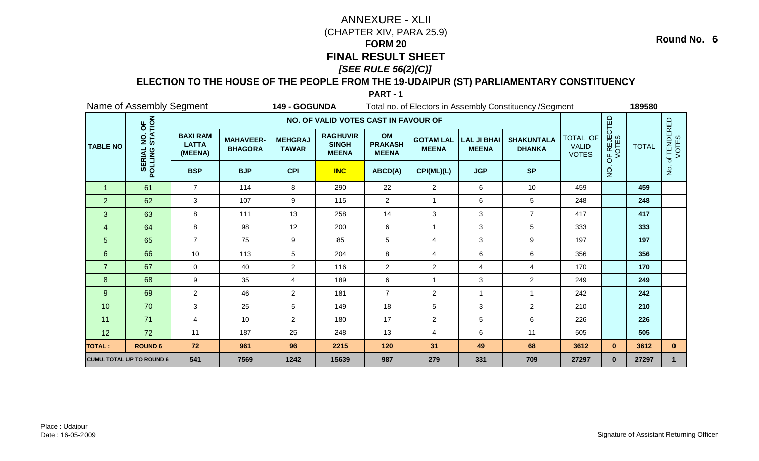### **ELECTION TO THE HOUSE OF THE PEOPLE FROM THE 19-UDAIPUR (ST) PARLIAMENTARY CONSTITUENCY**

**PART - 1**

|                 | Name of Assembly Segment         |                                            |                                    | 149 - GOGUNDA                  |                                                 |                                      |                                  |                                    | Total no. of Electors in Assembly Constituency / Segment |                                          |                      | 189580       |                      |
|-----------------|----------------------------------|--------------------------------------------|------------------------------------|--------------------------------|-------------------------------------------------|--------------------------------------|----------------------------------|------------------------------------|----------------------------------------------------------|------------------------------------------|----------------------|--------------|----------------------|
|                 |                                  |                                            |                                    |                                | NO. OF VALID VOTES CAST IN FAVOUR OF            |                                      |                                  |                                    |                                                          |                                          |                      |              |                      |
| <b>TABLE NO</b> | NO. OF<br>STATION                | <b>BAXI RAM</b><br><b>LATTA</b><br>(MEENA) | <b>MAHAVEER-</b><br><b>BHAGORA</b> | <b>MEHGRAJ</b><br><b>TAWAR</b> | <b>RAGHUVIR</b><br><b>SINGH</b><br><b>MEENA</b> | OM<br><b>PRAKASH</b><br><b>MEENA</b> | <b>GOTAM LAL</b><br><b>MEENA</b> | <b>LAL JI BHAI</b><br><b>MEENA</b> | <b>SHAKUNTALA</b><br><b>DHANKA</b>                       | TOTAL OF<br><b>VALID</b><br><b>VOTES</b> | OF REJECTED<br>VOTES | <b>TOTAL</b> | of TENDERED<br>VOTES |
|                 | <b>SERIAL</b><br>POLLING         | <b>BSP</b>                                 | <b>BJP</b>                         | <b>CPI</b>                     | <b>INC</b>                                      | ABCD(A)                              | CPI(ML)(L)                       | <b>JGP</b>                         | <b>SP</b>                                                |                                          | $\overline{5}$       |              | $\frac{1}{2}$        |
| $\overline{1}$  | 61                               | $\overline{7}$                             | 114                                | 8                              | 290                                             | 22                                   | $\overline{2}$                   | 6                                  | 10                                                       | 459                                      |                      | 459          |                      |
| $\overline{2}$  | 62                               | 3                                          | 107                                | 9                              | 115                                             | $\overline{2}$                       | 1                                | 6                                  | $5\phantom{.0}$                                          | 248                                      |                      | 248          |                      |
| 3               | 63                               | 8                                          | 111                                | 13                             | 258                                             | 14                                   | 3                                | 3                                  | $\overline{7}$                                           | 417                                      |                      | 417          |                      |
| 4               | 64                               | 8                                          | 98                                 | 12                             | 200                                             | 6                                    | 1                                | 3                                  | 5                                                        | 333                                      |                      | 333          |                      |
| 5               | 65                               | $\overline{7}$                             | 75                                 | 9                              | 85                                              | 5                                    | 4                                | 3                                  | 9                                                        | 197                                      |                      | 197          |                      |
| 6               | 66                               | 10                                         | 113                                | 5                              | 204                                             | 8                                    | 4                                | 6                                  | 6                                                        | 356                                      |                      | 356          |                      |
| $\overline{7}$  | 67                               | $\mathbf 0$                                | 40                                 | $\overline{2}$                 | 116                                             | $\overline{2}$                       | $\overline{2}$                   | 4                                  | $\overline{4}$                                           | 170                                      |                      | 170          |                      |
| 8               | 68                               | 9                                          | 35                                 | 4                              | 189                                             | $\,6\,$                              | $\overline{1}$                   | 3                                  | $\overline{2}$                                           | 249                                      |                      | 249          |                      |
| $\overline{9}$  | 69                               | $\overline{2}$                             | 46                                 | $\overline{2}$                 | 181                                             | $\overline{7}$                       | $\overline{c}$                   | $\mathbf{1}$                       | $\overline{1}$                                           | 242                                      |                      | 242          |                      |
| 10              | 70                               | 3                                          | 25                                 | 5                              | 149                                             | 18                                   | 5                                | 3                                  | $\overline{2}$                                           | 210                                      |                      | 210          |                      |
| 11              | 71                               | 4                                          | 10                                 | $\overline{2}$                 | 180                                             | 17                                   | $\overline{2}$                   | 5                                  | 6                                                        | 226                                      |                      | 226          |                      |
| 12              | 72                               | 11                                         | 187                                | 25                             | 248                                             | 13                                   | 4                                | 6                                  | 11                                                       | 505                                      |                      | 505          |                      |
| <b>TOTAL:</b>   | <b>ROUND 6</b>                   | 72                                         | 961                                | 96                             | 2215                                            | 120                                  | 31                               | 49                                 | 68                                                       | 3612                                     | $\mathbf{0}$         | 3612         | $\mathbf{0}$         |
|                 | <b>CUMU. TOTAL UP TO ROUND 6</b> | 541                                        | 7569                               | 1242                           | 15639                                           | 987                                  | 279                              | 331                                | 709                                                      | 27297                                    | $\mathbf{0}$         | 27297        | $\mathbf{1}$         |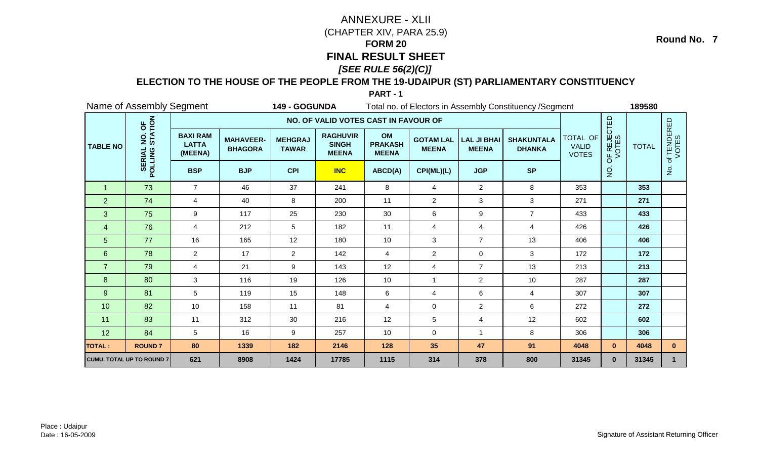### **ELECTION TO THE HOUSE OF THE PEOPLE FROM THE 19-UDAIPUR (ST) PARLIAMENTARY CONSTITUENCY**

**PART - 1**

|                 | Name of Assembly Segment  |                                            |                                    | 149 - GOGUNDA                  |                                                 |                                      |                                  |                                    | Total no. of Electors in Assembly Constituency / Segment |                                          |                      | 189580       |                      |
|-----------------|---------------------------|--------------------------------------------|------------------------------------|--------------------------------|-------------------------------------------------|--------------------------------------|----------------------------------|------------------------------------|----------------------------------------------------------|------------------------------------------|----------------------|--------------|----------------------|
|                 |                           |                                            |                                    |                                | NO. OF VALID VOTES CAST IN FAVOUR OF            |                                      |                                  |                                    |                                                          |                                          |                      |              |                      |
| <b>TABLE NO</b> | NO. OF<br>STATION         | <b>BAXI RAM</b><br><b>LATTA</b><br>(MEENA) | <b>MAHAVEER-</b><br><b>BHAGORA</b> | <b>MEHGRAJ</b><br><b>TAWAR</b> | <b>RAGHUVIR</b><br><b>SINGH</b><br><b>MEENA</b> | OM<br><b>PRAKASH</b><br><b>MEENA</b> | <b>GOTAM LAL</b><br><b>MEENA</b> | <b>LAL JI BHAI</b><br><b>MEENA</b> | <b>SHAKUNTALA</b><br><b>DHANKA</b>                       | TOTAL OF<br><b>VALID</b><br><b>VOTES</b> | OF REJECTED<br>VOTES | <b>TOTAL</b> | of TENDERED<br>VOTES |
|                 | <b>SERIAL</b><br>POLLING  | <b>BSP</b>                                 | <b>BJP</b>                         | <b>CPI</b>                     | <b>INC</b>                                      | ABCD(A)                              | CPI(ML)(L)                       | <b>JGP</b>                         | <b>SP</b>                                                |                                          | $\dot{\mathsf{S}}$   |              | $\frac{5}{2}$        |
| $\overline{1}$  | 73                        | $\overline{7}$                             | 46                                 | 37                             | 241                                             | 8                                    | $\overline{4}$                   | $\overline{2}$                     | 8                                                        | 353                                      |                      | 353          |                      |
| $\overline{2}$  | 74                        | 4                                          | 40                                 | 8                              | 200                                             | 11                                   | $\overline{c}$                   | 3                                  | 3                                                        | 271                                      |                      | 271          |                      |
| 3               | 75                        | 9                                          | 117                                | 25                             | 230                                             | 30                                   | 6                                | $\boldsymbol{9}$                   | $\overline{7}$                                           | 433                                      |                      | 433          |                      |
| 4               | 76                        | $\overline{4}$                             | 212                                | 5                              | 182                                             | 11                                   | 4                                | 4                                  | $\overline{4}$                                           | 426                                      |                      | 426          |                      |
| 5               | 77                        | 16                                         | 165                                | 12                             | 180                                             | 10                                   | 3                                | $\overline{7}$                     | 13                                                       | 406                                      |                      | 406          |                      |
| $6\phantom{1}$  | 78                        | $\overline{2}$                             | 17                                 | $\overline{2}$                 | 142                                             | $\overline{4}$                       | $\overline{2}$                   | $\mathbf 0$                        | 3                                                        | 172                                      |                      | 172          |                      |
| $\overline{7}$  | 79                        | $\overline{4}$                             | 21                                 | 9                              | 143                                             | 12                                   | 4                                | $\overline{7}$                     | 13                                                       | 213                                      |                      | 213          |                      |
| 8               | 80                        | 3                                          | 116                                | 19                             | 126                                             | 10                                   | $\overline{1}$                   | $\overline{a}$                     | 10                                                       | 287                                      |                      | 287          |                      |
| 9               | 81                        | 5                                          | 119                                | 15                             | 148                                             | $\,6\,$                              | 4                                | 6                                  | $\overline{4}$                                           | 307                                      |                      | 307          |                      |
| 10              | 82                        | 10                                         | 158                                | 11                             | 81                                              | $\overline{4}$                       | 0                                | $\overline{2}$                     | 6                                                        | 272                                      |                      | 272          |                      |
| 11              | 83                        | 11                                         | 312                                | 30                             | 216                                             | 12                                   | 5                                | 4                                  | 12                                                       | 602                                      |                      | 602          |                      |
| 12              | 84                        | 5                                          | 16                                 | 9                              | 257                                             | 10                                   | 0                                | -1                                 | 8                                                        | 306                                      |                      | 306          |                      |
| <b>TOTAL:</b>   | <b>ROUND7</b>             | 80                                         | 1339                               | 182                            | 2146                                            | 128                                  | 35                               | 47                                 | 91                                                       | 4048                                     | $\mathbf{0}$         | 4048         | $\mathbf{0}$         |
|                 | CUMU. TOTAL UP TO ROUND 7 | 621                                        | 8908                               | 1424                           | 17785                                           | 1115                                 | 314                              | 378                                | 800                                                      | 31345                                    | $\mathbf{0}$         | 31345        |                      |

Place : UdaipurDate : 16-05-2009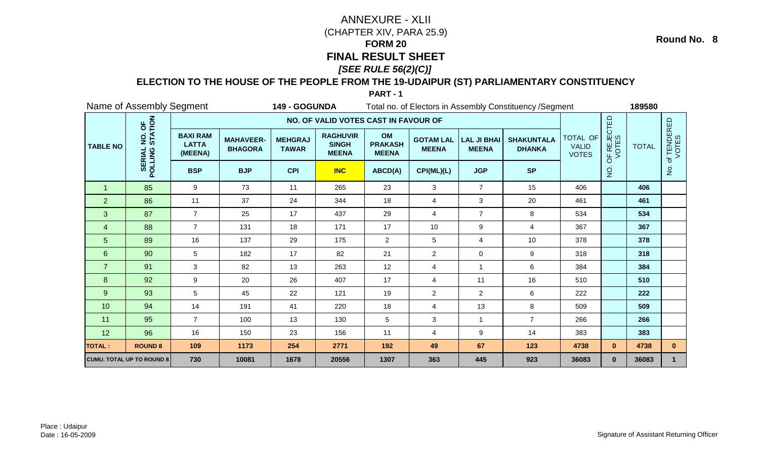### **ELECTION TO THE HOUSE OF THE PEOPLE FROM THE 19-UDAIPUR (ST) PARLIAMENTARY CONSTITUENCY**

**PART - 1**

|                 | Name of Assembly Segment         |                                            |                                    | 149 - GOGUNDA                  |                                                 |                                      |                                  |                                    | Total no. of Electors in Assembly Constituency / Segment |                                          |                      | 189580       |                                 |
|-----------------|----------------------------------|--------------------------------------------|------------------------------------|--------------------------------|-------------------------------------------------|--------------------------------------|----------------------------------|------------------------------------|----------------------------------------------------------|------------------------------------------|----------------------|--------------|---------------------------------|
|                 |                                  |                                            |                                    |                                | NO. OF VALID VOTES CAST IN FAVOUR OF            |                                      |                                  |                                    |                                                          |                                          |                      |              |                                 |
| <b>TABLE NO</b> | NO. OF<br>STATION                | <b>BAXI RAM</b><br><b>LATTA</b><br>(MEENA) | <b>MAHAVEER-</b><br><b>BHAGORA</b> | <b>MEHGRAJ</b><br><b>TAWAR</b> | <b>RAGHUVIR</b><br><b>SINGH</b><br><b>MEENA</b> | OM<br><b>PRAKASH</b><br><b>MEENA</b> | <b>GOTAM LAL</b><br><b>MEENA</b> | <b>LAL JI BHAI</b><br><b>MEENA</b> | <b>SHAKUNTALA</b><br><b>DHANKA</b>                       | TOTAL OF<br><b>VALID</b><br><b>VOTES</b> | OF REJECTED<br>VOTES | <b>TOTAL</b> | <b>f TENDERED</b><br>VOTES<br>đ |
|                 | <b>SERIAL</b><br>POLLING         | <b>BSP</b>                                 | <b>BJP</b>                         | <b>CPI</b>                     | <b>INC</b>                                      | ABCD(A)                              | CPI(ML)(L)                       | <b>JGP</b>                         | <b>SP</b>                                                |                                          | $\dot{\mathsf{S}}$   |              | $\frac{1}{2}$                   |
| $\overline{1}$  | 85                               | 9                                          | 73                                 | 11                             | 265                                             | 23                                   | 3                                | $\overline{7}$                     | 15                                                       | 406                                      |                      | 406          |                                 |
| $\overline{2}$  | 86                               | 11                                         | 37                                 | 24                             | 344                                             | 18                                   | 4                                | 3                                  | 20                                                       | 461                                      |                      | 461          |                                 |
| 3               | 87                               | $\overline{7}$                             | 25                                 | 17                             | 437                                             | 29                                   | 4                                | $\overline{7}$                     | 8                                                        | 534                                      |                      | 534          |                                 |
| 4               | 88                               | $\overline{7}$                             | 131                                | 18                             | 171                                             | 17                                   | 10                               | 9                                  | 4                                                        | 367                                      |                      | 367          |                                 |
| 5               | 89                               | 16                                         | 137                                | 29                             | 175                                             | $\overline{2}$                       | 5                                | 4                                  | 10                                                       | 378                                      |                      | 378          |                                 |
| 6               | 90                               | 5                                          | 182                                | 17                             | 82                                              | 21                                   | $\overline{2}$                   | $\mathbf 0$                        | 9                                                        | 318                                      |                      | 318          |                                 |
| $\overline{7}$  | 91                               | 3                                          | 82                                 | 13                             | 263                                             | 12                                   | 4                                | $\mathbf{1}$                       | 6                                                        | 384                                      |                      | 384          |                                 |
| 8               | 92                               | 9                                          | 20                                 | 26                             | 407                                             | 17                                   | 4                                | 11                                 | 16                                                       | 510                                      |                      | 510          |                                 |
| $\overline{9}$  | 93                               | 5                                          | 45                                 | 22                             | 121                                             | 19                                   | $\overline{2}$                   | $\overline{2}$                     | 6                                                        | 222                                      |                      | 222          |                                 |
| 10              | 94                               | 14                                         | 191                                | 41                             | 220                                             | 18                                   | 4                                | 13                                 | 8                                                        | 509                                      |                      | 509          |                                 |
| 11              | 95                               | $\overline{7}$                             | 100                                | 13                             | 130                                             | 5                                    | 3                                | $\mathbf{1}$                       | $\overline{7}$                                           | 266                                      |                      | 266          |                                 |
| 12              | 96                               | 16                                         | 150                                | 23                             | 156                                             | 11                                   | 4                                | 9                                  | 14                                                       | 383                                      |                      | 383          |                                 |
| <b>TOTAL:</b>   | <b>ROUND 8</b>                   | 109                                        | 1173                               | 254                            | 2771                                            | 192                                  | 49                               | 67                                 | 123                                                      | 4738                                     | $\mathbf{0}$         | 4738         | $\mathbf{0}$                    |
|                 | <b>CUMU. TOTAL UP TO ROUND 8</b> | 730                                        | 10081                              | 1678                           | 20556                                           | 1307                                 | 363                              | 445                                | 923                                                      | 36083                                    | $\mathbf{0}$         | 36083        | $\mathbf{1}$                    |

Place : UdaipurDate : 16-05-2009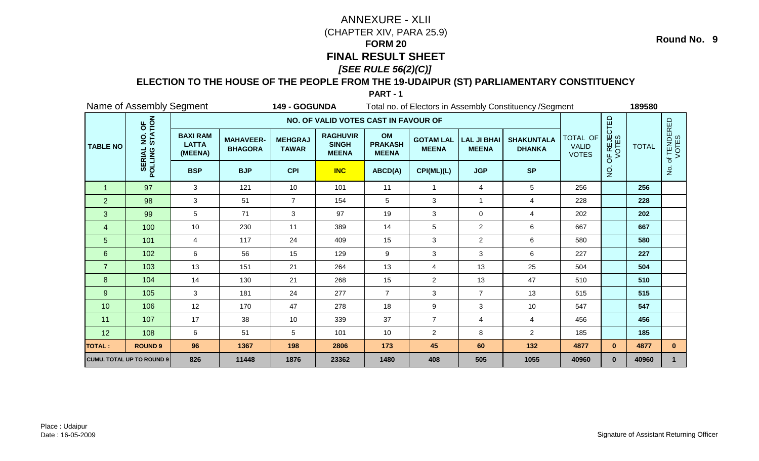### **ELECTION TO THE HOUSE OF THE PEOPLE FROM THE 19-UDAIPUR (ST) PARLIAMENTARY CONSTITUENCY**

**PART - 1**

|                  | Name of Assembly Segment         |                                            |                                    | 149 - GOGUNDA                  |                                                 |                                      |                                  |                                    | Total no. of Electors in Assembly Constituency / Segment |                                          |                      | 189580       |                          |
|------------------|----------------------------------|--------------------------------------------|------------------------------------|--------------------------------|-------------------------------------------------|--------------------------------------|----------------------------------|------------------------------------|----------------------------------------------------------|------------------------------------------|----------------------|--------------|--------------------------|
|                  |                                  |                                            |                                    |                                | NO. OF VALID VOTES CAST IN FAVOUR OF            |                                      |                                  |                                    |                                                          |                                          |                      |              |                          |
| <b>TABLE NO</b>  | NO. OF<br>STATION                | <b>BAXI RAM</b><br><b>LATTA</b><br>(MEENA) | <b>MAHAVEER-</b><br><b>BHAGORA</b> | <b>MEHGRAJ</b><br><b>TAWAR</b> | <b>RAGHUVIR</b><br><b>SINGH</b><br><b>MEENA</b> | OM<br><b>PRAKASH</b><br><b>MEENA</b> | <b>GOTAM LAL</b><br><b>MEENA</b> | <b>LAL JI BHAI</b><br><b>MEENA</b> | <b>SHAKUNTALA</b><br><b>DHANKA</b>                       | TOTAL OF<br><b>VALID</b><br><b>VOTES</b> | OF REJECTED<br>VOTES | <b>TOTAL</b> | f TENDERED<br>VOTES<br>đ |
|                  | <b>SERIAL</b><br>POLLING         | <b>BSP</b>                                 | <b>BJP</b>                         | <b>CPI</b>                     | <b>INC</b>                                      | <b>SP</b>                            |                                  | g                                  |                                                          | $\frac{1}{2}$                            |                      |              |                          |
| $\overline{1}$   | 97                               | 3                                          | 121                                | 10                             | 101                                             | 11                                   | $\overline{1}$                   | 4                                  | 5                                                        | 256                                      |                      | 256          |                          |
| $\overline{2}$   | 98                               | 3                                          | 51                                 | $\overline{7}$                 | 154                                             | $5\phantom{.0}$                      | 3                                | $\mathbf{1}$                       | $\overline{4}$                                           | 228                                      |                      | 228          |                          |
| 3                | 99                               | 5                                          | 71                                 | 3                              | 97                                              | 19                                   | 3                                | $\mathsf 0$                        | 4                                                        | 202                                      |                      | 202          |                          |
| 4                | 100                              | 10                                         | 230                                | 11                             | 389                                             | 14                                   | 5                                | $\overline{a}$                     | 6                                                        | 667                                      |                      | 667          |                          |
| 5                | 101                              | $\overline{4}$                             | 117                                | 24                             | 409                                             | 15                                   | 3                                | $\overline{2}$                     | 6                                                        | 580                                      |                      | 580          |                          |
| 6                | 102                              | 6                                          | 56                                 | 15                             | 129                                             | 9                                    | 3                                | 3                                  | 6                                                        | 227                                      |                      | 227          |                          |
| $\overline{7}$   | 103                              | 13                                         | 151                                | 21                             | 264                                             | 13                                   | 4                                | 13                                 | 25                                                       | 504                                      |                      | 504          |                          |
| $\boldsymbol{8}$ | 104                              | 14                                         | 130                                | 21                             | 268                                             | 15                                   | $\overline{2}$                   | 13                                 | 47                                                       | 510                                      |                      | 510          |                          |
| $\overline{9}$   | 105                              | 3                                          | 181                                | 24                             | 277                                             | $\overline{7}$                       | 3                                | $\overline{7}$                     | 13                                                       | 515                                      |                      | 515          |                          |
| 10               | 106                              | 12                                         | 170                                | 47                             | 278                                             | 18                                   | 9                                | 3                                  | 10                                                       | 547                                      |                      | 547          |                          |
| 11               | 107                              | 17                                         | 38                                 | 10                             | 339                                             | 37                                   | $\overline{7}$                   | $\overline{4}$                     | $\overline{4}$                                           | 456                                      |                      | 456          |                          |
| 12               | 108                              | 6                                          | 51                                 | 5                              | 101                                             | 10                                   | $\overline{2}$                   | 8                                  | $\overline{2}$                                           | 185                                      |                      | 185          |                          |
| <b>TOTAL:</b>    | <b>ROUND 9</b>                   | 96                                         | 1367                               | 198                            | 2806                                            | 173                                  | 45                               | 60                                 | 132                                                      | 4877                                     | $\mathbf{0}$         | 4877         | $\mathbf{0}$             |
|                  | <b>CUMU. TOTAL UP TO ROUND 9</b> | 826                                        | 11448                              | 1876                           | 23362                                           | 1480                                 | 408                              | 505                                | 1055                                                     | 40960                                    | $\mathbf{0}$         | 40960        |                          |

Place : UdaipurDate : 16-05-2009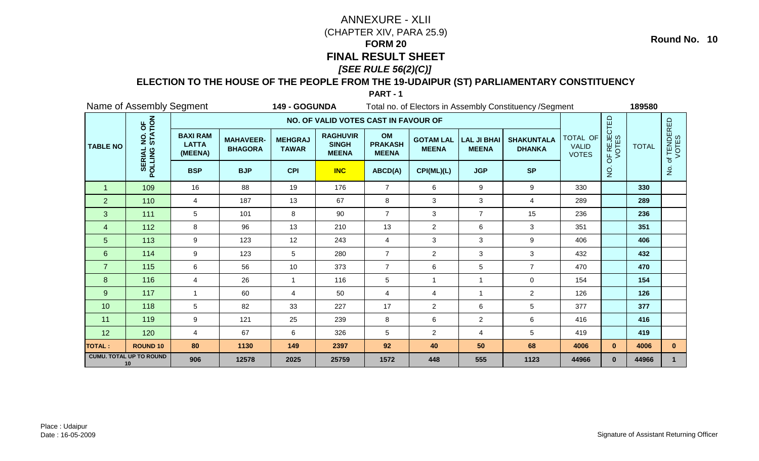### **ELECTION TO THE HOUSE OF THE PEOPLE FROM THE 19-UDAIPUR (ST) PARLIAMENTARY CONSTITUENCY**

**PART - 1**

|                      | Name of Assembly Segment             |                                            |                                    | 149 - GOGUNDA                  |                                                 |                                      |                                  |                                    | Total no. of Electors in Assembly Constituency / Segment |                                          |                      | 189580       |                          |
|----------------------|--------------------------------------|--------------------------------------------|------------------------------------|--------------------------------|-------------------------------------------------|--------------------------------------|----------------------------------|------------------------------------|----------------------------------------------------------|------------------------------------------|----------------------|--------------|--------------------------|
|                      |                                      |                                            |                                    |                                | NO. OF VALID VOTES CAST IN FAVOUR OF            |                                      |                                  |                                    |                                                          |                                          |                      |              |                          |
| <b>TABLE NO</b>      | NO. OF<br>STATION                    | <b>BAXI RAM</b><br><b>LATTA</b><br>(MEENA) | <b>MAHAVEER-</b><br><b>BHAGORA</b> | <b>MEHGRAJ</b><br><b>TAWAR</b> | <b>RAGHUVIR</b><br><b>SINGH</b><br><b>MEENA</b> | OM<br><b>PRAKASH</b><br><b>MEENA</b> | <b>GOTAM LAL</b><br><b>MEENA</b> | <b>LAL JI BHAI</b><br><b>MEENA</b> | <b>SHAKUNTALA</b><br><b>DHANKA</b>                       | TOTAL OF<br><b>VALID</b><br><b>VOTES</b> | OF REJECTED<br>VOTES | <b>TOTAL</b> | f TENDERED<br>VOTES<br>đ |
|                      | <b>SERIAL</b><br>POLLING             | <b>BSP</b>                                 | <b>BJP</b>                         | <b>CPI</b>                     | <b>INC</b>                                      | ABCD(A)                              | CPI(ML)(L)                       | <b>JGP</b>                         | <b>SP</b>                                                |                                          | $\dot{Q}$            |              | $\frac{1}{2}$            |
| $\blacktriangleleft$ | 109                                  | 16                                         | 88                                 | 19                             | 176                                             | $\overline{7}$                       | 6                                | $\boldsymbol{9}$                   | 9                                                        | 330                                      |                      | 330          |                          |
| $\overline{2}$       | 110                                  | 4                                          | 187                                | 13                             | 67                                              | 8                                    | 3                                | 3                                  | $\overline{4}$                                           | 289                                      |                      | 289          |                          |
| 3                    | 111                                  | 5                                          | 101                                | 8                              | 90                                              | $\overline{7}$                       | 3                                | $\overline{7}$                     | 15                                                       | 236                                      |                      | 236          |                          |
| $\overline{4}$       | 112                                  | 8                                          | 96                                 | 13                             | 210                                             | 13                                   | $\overline{c}$                   | 6                                  | 3                                                        | 351                                      |                      | 351          |                          |
| 5                    | 113                                  | 9                                          | 123                                | 12                             | 243                                             | $\overline{4}$                       | 3                                | 3                                  | 9                                                        | 406                                      |                      | 406          |                          |
| 6                    | 114                                  | 9                                          | 123                                | 5                              | 280                                             | $\overline{7}$                       | $\overline{2}$                   | 3                                  | 3                                                        | 432                                      |                      | 432          |                          |
| $\overline{7}$       | 115                                  | 6                                          | 56                                 | 10                             | 373                                             | $\overline{7}$                       | 6                                | 5                                  | $\overline{7}$                                           | 470                                      |                      | 470          |                          |
| 8                    | 116                                  | 4                                          | 26                                 |                                | 116                                             | $\sqrt{5}$                           | 1                                | -1                                 | $\mathbf 0$                                              | 154                                      |                      | 154          |                          |
| 9                    | 117                                  | $\mathbf{1}$                               | 60                                 | 4                              | 50                                              | $\overline{4}$                       | 4                                | $\mathbf{1}$                       | $\overline{2}$                                           | 126                                      |                      | 126          |                          |
| 10                   | 118                                  | 5                                          | 82                                 | 33                             | 227                                             | 17                                   | $\overline{2}$                   | 6                                  | 5                                                        | 377                                      |                      | 377          |                          |
| 11                   | 119                                  | 9                                          | 121                                | 25                             | 239                                             | 8                                    | 6                                | $\overline{2}$                     | 6                                                        | 416                                      |                      | 416          |                          |
| 12                   | 120                                  | $\overline{4}$                             | 67                                 | 6                              | 326                                             | $\sqrt{5}$                           | $\overline{2}$                   | 4                                  | 5                                                        | 419                                      |                      | 419          |                          |
| <b>TOTAL:</b>        | <b>ROUND 10</b>                      | 80                                         | 1130                               | 149                            | 2397                                            | 92                                   | 40                               | 50                                 | 68                                                       | 4006                                     | $\mathbf{0}$         | 4006         | $\mathbf{0}$             |
|                      | <b>CUMU. TOTAL UP TO ROUND</b><br>10 | 906                                        | 12578                              | 2025                           | 25759                                           | 1572                                 | 448                              | 555                                | 1123                                                     | 44966                                    | $\mathbf{0}$         | 44966        | $\mathbf{1}$             |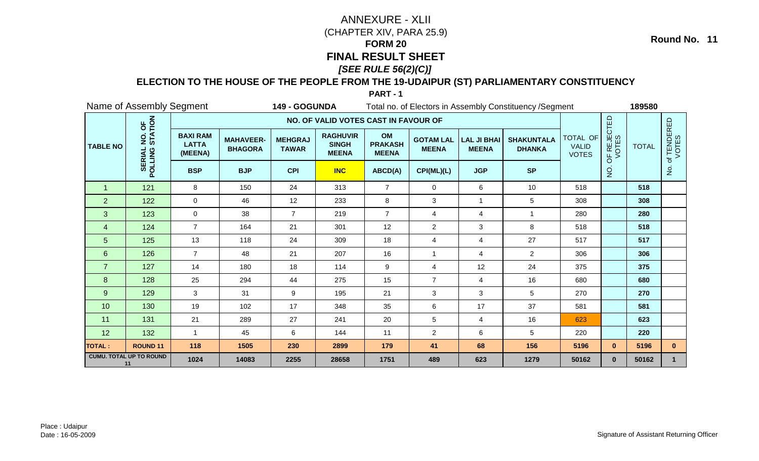### **ELECTION TO THE HOUSE OF THE PEOPLE FROM THE 19-UDAIPUR (ST) PARLIAMENTARY CONSTITUENCY**

**PART - 1**

|                      | Name of Assembly Segment             |                                            |                                    | 149 - GOGUNDA                  |                                                 |                                      |                                  |                                    | Total no. of Electors in Assembly Constituency / Segment |                                          |                      | 189580       |                      |
|----------------------|--------------------------------------|--------------------------------------------|------------------------------------|--------------------------------|-------------------------------------------------|--------------------------------------|----------------------------------|------------------------------------|----------------------------------------------------------|------------------------------------------|----------------------|--------------|----------------------|
|                      |                                      |                                            |                                    |                                | NO. OF VALID VOTES CAST IN FAVOUR OF            |                                      |                                  |                                    |                                                          |                                          |                      |              |                      |
| <b>TABLE NO</b>      | NO. OF<br>STATION                    | <b>BAXI RAM</b><br><b>LATTA</b><br>(MEENA) | <b>MAHAVEER-</b><br><b>BHAGORA</b> | <b>MEHGRAJ</b><br><b>TAWAR</b> | <b>RAGHUVIR</b><br><b>SINGH</b><br><b>MEENA</b> | OM<br><b>PRAKASH</b><br><b>MEENA</b> | <b>GOTAM LAL</b><br><b>MEENA</b> | <b>LAL JI BHAI</b><br><b>MEENA</b> | <b>SHAKUNTALA</b><br><b>DHANKA</b>                       | TOTAL OF<br><b>VALID</b><br><b>VOTES</b> | OF REJECTED<br>VOTES | <b>TOTAL</b> | of TENDERED<br>VOTES |
|                      | <b>SERIAL</b><br>POLLING             | <b>BSP</b>                                 | <b>BJP</b>                         | <b>CPI</b>                     | <b>INC</b>                                      | ABCD(A)                              | CPI(ML)(L)                       | <b>JGP</b>                         | <b>SP</b>                                                |                                          | $\dot{Q}$            |              | $\frac{1}{2}$        |
| $\blacktriangleleft$ | 121                                  | 8                                          | 150                                | 24                             | 313                                             | $\overline{7}$                       | $\mathbf 0$                      | 6                                  | 10                                                       | 518                                      |                      | 518          |                      |
| $\overline{2}$       | 122                                  | $\mathbf 0$                                | 46                                 | 12                             | 233                                             | 8                                    | 3                                | 1                                  | 5                                                        | 308                                      |                      | 308          |                      |
| 3                    | 123                                  | $\mathbf 0$                                | 38                                 | $\overline{7}$                 | 219                                             | $\overline{7}$                       | 4                                | $\overline{\mathbf{4}}$            | $\overline{1}$                                           | 280                                      |                      | 280          |                      |
| $\overline{4}$       | 124                                  | $\overline{7}$                             | 164                                | 21                             | 301                                             | 12                                   | $\overline{c}$                   | 3                                  | 8                                                        | 518                                      |                      | 518          |                      |
| 5                    | 125                                  | 13                                         | 118                                | 24                             | 309                                             | 18                                   | 4                                | 4                                  | 27                                                       | 517                                      |                      | 517          |                      |
| 6                    | 126                                  | $\overline{7}$                             | 48                                 | 21                             | 207                                             | 16                                   | 1                                | 4                                  | $\overline{2}$                                           | 306                                      |                      | 306          |                      |
| $\overline{7}$       | 127                                  | 14                                         | 180                                | 18                             | 114                                             | 9                                    | 4                                | 12                                 | 24                                                       | 375                                      |                      | 375          |                      |
| 8                    | 128                                  | 25                                         | 294                                | 44                             | 275                                             | 15                                   | $\overline{7}$                   | $\overline{4}$                     | 16                                                       | 680                                      |                      | 680          |                      |
| 9                    | 129                                  | 3                                          | 31                                 | 9                              | 195                                             | 21                                   | 3                                | 3                                  | 5                                                        | 270                                      |                      | 270          |                      |
| 10                   | 130                                  | 19                                         | 102                                | 17                             | 348                                             | 35                                   | 6                                | 17                                 | 37                                                       | 581                                      |                      | 581          |                      |
| 11                   | 131                                  | 21                                         | 289                                | 27                             | 241                                             | 20                                   | 5                                | 4                                  | 16                                                       | 623                                      |                      | 623          |                      |
| 12                   | 132                                  | $\mathbf{1}$                               | 45                                 | 6                              | 144                                             | 11                                   | $\overline{2}$                   | 6                                  | 5                                                        | 220                                      |                      | 220          |                      |
| <b>TOTAL:</b>        | <b>ROUND 11</b>                      | 118                                        | 1505                               | 230                            | 2899                                            | 179                                  | 41                               | 68                                 | 156                                                      | 5196                                     | $\mathbf{0}$         | 5196         | $\mathbf{0}$         |
|                      | <b>CUMU. TOTAL UP TO ROUND</b><br>11 | 1024                                       | 14083                              | 2255                           | 28658                                           | 1751                                 | 489                              | 623                                | 1279                                                     | 50162                                    | $\mathbf{0}$         | 50162        | $\mathbf{1}$         |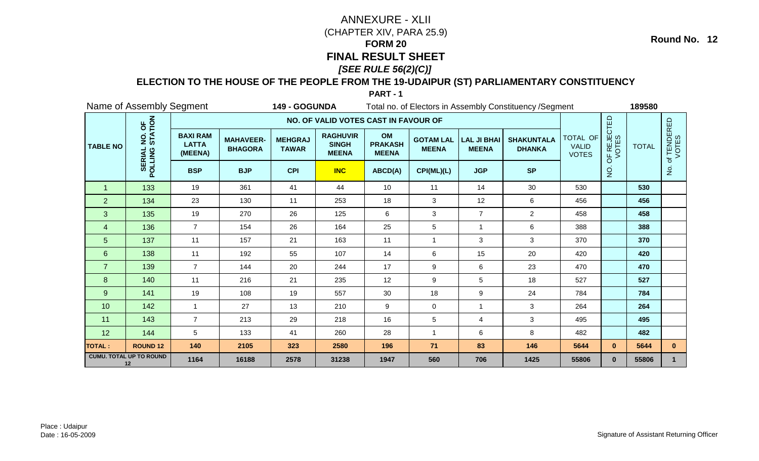### **ELECTION TO THE HOUSE OF THE PEOPLE FROM THE 19-UDAIPUR (ST) PARLIAMENTARY CONSTITUENCY**

**PART - 1**

|                 | Name of Assembly Segment             |                                            |                                    | 149 - GOGUNDA                  |                                                 |                                      |                                  |                                    | Total no. of Electors in Assembly Constituency / Segment |                                          |                      | 189580       |                          |
|-----------------|--------------------------------------|--------------------------------------------|------------------------------------|--------------------------------|-------------------------------------------------|--------------------------------------|----------------------------------|------------------------------------|----------------------------------------------------------|------------------------------------------|----------------------|--------------|--------------------------|
|                 |                                      |                                            |                                    |                                | NO. OF VALID VOTES CAST IN FAVOUR OF            |                                      |                                  |                                    |                                                          |                                          |                      |              |                          |
| <b>TABLE NO</b> | NO. OF<br>STATION                    | <b>BAXI RAM</b><br><b>LATTA</b><br>(MEENA) | <b>MAHAVEER-</b><br><b>BHAGORA</b> | <b>MEHGRAJ</b><br><b>TAWAR</b> | <b>RAGHUVIR</b><br><b>SINGH</b><br><b>MEENA</b> | OM<br><b>PRAKASH</b><br><b>MEENA</b> | <b>GOTAM LAL</b><br><b>MEENA</b> | <b>LAL JI BHAI</b><br><b>MEENA</b> | <b>SHAKUNTALA</b><br><b>DHANKA</b>                       | TOTAL OF<br><b>VALID</b><br><b>VOTES</b> | OF REJECTED<br>VOTES | <b>TOTAL</b> | f TENDERED<br>VOTES<br>đ |
|                 | <b>SERIAL</b><br>POLLING             | <b>BSP</b>                                 | <b>BJP</b>                         | <b>CPI</b>                     | <b>INC</b>                                      | ABCD(A)                              | CPI(ML)(L)                       | <b>JGP</b>                         | <b>SP</b>                                                |                                          | $\dot{Q}$            |              | $\frac{1}{2}$            |
| $\overline{1}$  | 133                                  | 19                                         | 361                                | 41                             | 44                                              | 10                                   | 11                               | 14                                 | 30                                                       | 530                                      |                      | 530          |                          |
| $\overline{2}$  | 134                                  | 23                                         | 130                                | 11                             | 253                                             | 18                                   | 3                                | 12                                 | 6                                                        | 456                                      |                      | 456          |                          |
| 3               | 135                                  | 19                                         | 270                                | 26                             | 125                                             | 6                                    | $\ensuremath{\mathsf{3}}$        | $\overline{7}$                     | $\overline{2}$                                           | 458                                      |                      | 458          |                          |
| 4               | 136                                  | $\overline{7}$                             | 154                                | 26                             | 164                                             | 25                                   | 5                                | 1                                  | 6                                                        | 388                                      |                      | 388          |                          |
| $\overline{5}$  | 137                                  | 11                                         | 157                                | 21                             | 163                                             | 11                                   | $\overline{\phantom{a}}$         | 3                                  | 3                                                        | 370                                      |                      | 370          |                          |
| $6\phantom{1}$  | 138                                  | 11                                         | 192                                | 55                             | 107                                             | 14                                   | 6                                | 15                                 | 20                                                       | 420                                      |                      | 420          |                          |
| $\overline{7}$  | 139                                  | $\overline{7}$                             | 144                                | 20                             | 244                                             | 17                                   | 9                                | 6                                  | 23                                                       | 470                                      |                      | 470          |                          |
| $\bf 8$         | 140                                  | 11                                         | 216                                | 21                             | 235                                             | 12                                   | 9                                | 5                                  | 18                                                       | 527                                      |                      | 527          |                          |
| $9\,$           | 141                                  | 19                                         | 108                                | 19                             | 557                                             | 30                                   | 18                               | 9                                  | 24                                                       | 784                                      |                      | 784          |                          |
| 10              | 142                                  | $\mathbf{1}$                               | 27                                 | 13                             | 210                                             | 9                                    | 0                                | $\mathbf{1}$                       | $\mathbf{3}$                                             | 264                                      |                      | 264          |                          |
| 11              | 143                                  | $\overline{7}$                             | 213                                | 29                             | 218                                             | 16                                   | 5                                | 4                                  | 3                                                        | 495                                      |                      | 495          |                          |
| 12              | 144                                  | 5                                          | 133                                | 41                             | 260                                             | 28                                   | $\overline{1}$                   | 6                                  | 8                                                        | 482                                      |                      | 482          |                          |
| <b>TOTAL:</b>   | <b>ROUND 12</b>                      | 140                                        | 2105                               | 323                            | 2580                                            | 196                                  | $71$                             | 83                                 | 146                                                      | 5644                                     | $\mathbf{0}$         | 5644         | $\mathbf{0}$             |
|                 | <b>CUMU. TOTAL UP TO ROUND</b><br>12 | 1164                                       | 16188                              | 2578                           | 31238                                           | 1947                                 | 560                              | 706                                | 1425                                                     | 55806                                    | $\mathbf{0}$         | 55806        | $\mathbf{1}$             |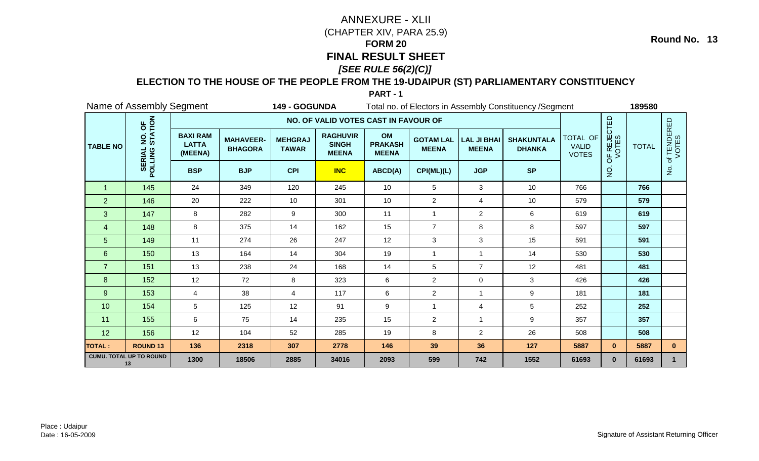### **ELECTION TO THE HOUSE OF THE PEOPLE FROM THE 19-UDAIPUR (ST) PARLIAMENTARY CONSTITUENCY**

**PART - 1**

|                 | Name of Assembly Segment<br><b>149 - GOGUNDA</b> |                                            |                                    |                                |                                                 |                                      |                                  | Total no. of Electors in Assembly Constituency / Segment | 189580                             |                                          |                                                                                                                  |       |                      |
|-----------------|--------------------------------------------------|--------------------------------------------|------------------------------------|--------------------------------|-------------------------------------------------|--------------------------------------|----------------------------------|----------------------------------------------------------|------------------------------------|------------------------------------------|------------------------------------------------------------------------------------------------------------------|-------|----------------------|
|                 |                                                  |                                            |                                    |                                | NO. OF VALID VOTES CAST IN FAVOUR OF            |                                      |                                  |                                                          |                                    |                                          | OF REJECTED<br>VOTES<br><b>TOTAL</b><br>$\dot{Q}$<br>766<br>579<br>619<br>597<br>591<br>530<br>481<br>426<br>181 |       |                      |
| <b>TABLE NO</b> | NO. OF<br>STATION                                | <b>BAXI RAM</b><br><b>LATTA</b><br>(MEENA) | <b>MAHAVEER-</b><br><b>BHAGORA</b> | <b>MEHGRAJ</b><br><b>TAWAR</b> | <b>RAGHUVIR</b><br><b>SINGH</b><br><b>MEENA</b> | OM<br><b>PRAKASH</b><br><b>MEENA</b> | <b>GOTAM LAL</b><br><b>MEENA</b> | <b>LAL JI BHAI</b><br><b>MEENA</b>                       | <b>SHAKUNTALA</b><br><b>DHANKA</b> | TOTAL OF<br><b>VALID</b><br><b>VOTES</b> |                                                                                                                  |       | of TENDERED<br>VOTES |
|                 | <b>SERIAL</b><br>POLLING                         | <b>BSP</b>                                 | <b>BJP</b>                         | <b>CPI</b>                     | <b>INC</b>                                      | ABCD(A)                              | CPI(ML)(L)                       | <b>JGP</b>                                               | <b>SP</b>                          |                                          |                                                                                                                  |       | $\frac{1}{2}$        |
| -1              | 145                                              | 24                                         | 349                                | 120                            | 245                                             | 10                                   | 5                                | 3                                                        | 10                                 | 766                                      |                                                                                                                  |       |                      |
| $\overline{2}$  | 146                                              | 20                                         | 222                                | 10                             | 301                                             | 10                                   | $\overline{c}$                   | 4                                                        | 10                                 | 579                                      |                                                                                                                  |       |                      |
| 3               | 147                                              | 8                                          | 282                                | 9                              | 300                                             | 11                                   | 1                                | $\overline{2}$                                           | 6                                  | 619                                      |                                                                                                                  |       |                      |
| $\overline{4}$  | 148                                              | 8                                          | 375                                | 14                             | 162                                             | 15                                   | $\overline{7}$                   | 8                                                        | 8                                  | 597                                      |                                                                                                                  |       |                      |
| 5               | 149                                              | 11                                         | 274                                | 26                             | 247                                             | 12                                   | 3                                | 3                                                        | 15                                 | 591                                      |                                                                                                                  |       |                      |
| $6\phantom{1}$  | 150                                              | 13                                         | 164                                | 14                             | 304                                             | 19                                   | 1                                | $\mathbf{1}$                                             | 14                                 | 530                                      |                                                                                                                  |       |                      |
| $\overline{7}$  | 151                                              | 13                                         | 238                                | 24                             | 168                                             | 14                                   | 5                                | $\overline{7}$                                           | 12                                 | 481                                      |                                                                                                                  |       |                      |
| 8               | 152                                              | 12                                         | 72                                 | 8                              | 323                                             | 6                                    | $\overline{2}$                   | 0                                                        | 3                                  | 426                                      |                                                                                                                  |       |                      |
| $\overline{9}$  | 153                                              | 4                                          | 38                                 | 4                              | 117                                             | 6                                    | $\overline{c}$                   | 1                                                        | 9                                  | 181                                      |                                                                                                                  |       |                      |
| 10              | 154                                              | 5                                          | 125                                | 12                             | 91                                              | 9                                    | 1                                | 4                                                        | 5                                  | 252                                      |                                                                                                                  | 252   |                      |
| 11              | 155                                              | 6                                          | 75                                 | 14                             | 235                                             | 15                                   | $\overline{2}$                   | -1                                                       | 9                                  | 357                                      |                                                                                                                  | 357   |                      |
| 12              | 156                                              | 12                                         | 104                                | 52                             | 285                                             | 19                                   | 8                                | $\overline{a}$                                           | 26                                 | 508                                      |                                                                                                                  | 508   |                      |
| <b>TOTAL:</b>   | <b>ROUND 13</b>                                  | 136                                        | 2318                               | 307                            | 2778                                            | 146                                  | 39                               | 36                                                       | 127                                | 5887                                     | $\mathbf{0}$                                                                                                     | 5887  | $\mathbf{0}$         |
|                 | <b>CUMU. TOTAL UP TO ROUND</b><br>13             | 1300                                       | 18506                              | 2885                           | 34016                                           | 2093                                 | 599                              | 742                                                      | 1552                               | 61693                                    | $\mathbf{0}$                                                                                                     | 61693 | $\mathbf{1}$         |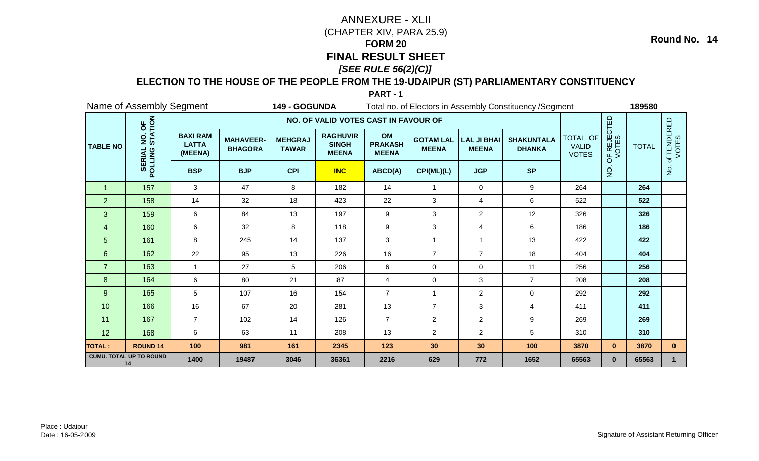### **ELECTION TO THE HOUSE OF THE PEOPLE FROM THE 19-UDAIPUR (ST) PARLIAMENTARY CONSTITUENCY**

**PART - 1**

|                 | Name of Assembly Segment             |                                            |                                    | 149 - GOGUNDA                  |                                                 |                                      |                                  |                                    | Total no. of Electors in Assembly Constituency / Segment |                                          |                      | 189580       |                      |  |  |  |
|-----------------|--------------------------------------|--------------------------------------------|------------------------------------|--------------------------------|-------------------------------------------------|--------------------------------------|----------------------------------|------------------------------------|----------------------------------------------------------|------------------------------------------|----------------------|--------------|----------------------|--|--|--|
|                 |                                      |                                            |                                    |                                | NO. OF VALID VOTES CAST IN FAVOUR OF            |                                      |                                  |                                    |                                                          |                                          |                      |              |                      |  |  |  |
| <b>TABLE NO</b> | NO. OF<br>STATION                    | <b>BAXI RAM</b><br><b>LATTA</b><br>(MEENA) | <b>MAHAVEER-</b><br><b>BHAGORA</b> | <b>MEHGRAJ</b><br><b>TAWAR</b> | <b>RAGHUVIR</b><br><b>SINGH</b><br><b>MEENA</b> | OM<br><b>PRAKASH</b><br><b>MEENA</b> | <b>GOTAM LAL</b><br><b>MEENA</b> | <b>LAL JI BHAI</b><br><b>MEENA</b> | <b>SHAKUNTALA</b><br><b>DHANKA</b>                       | TOTAL OF<br><b>VALID</b><br><b>VOTES</b> | OF REJECTED<br>VOTES | <b>TOTAL</b> | of TENDERED<br>VOTES |  |  |  |
|                 | <b>SERIAL</b><br>POLLING             | <b>BSP</b>                                 | <b>BJP</b>                         | <b>CPI</b>                     | <b>INC</b>                                      | ABCD(A)                              | CPI(ML)(L)                       | <b>JGP</b>                         | <b>SP</b>                                                |                                          | $\overline{5}$       |              | $\frac{1}{2}$        |  |  |  |
| $\overline{1}$  | 157                                  | 3                                          | 47                                 | 8                              | 182                                             | 14                                   | $\mathbf{1}$                     | $\mathbf 0$                        | 9                                                        | 264                                      |                      | 264          |                      |  |  |  |
| $\overline{2}$  | 158                                  | 14                                         | 32                                 | 18                             | 423                                             | 22                                   | 3                                | 4                                  | 6                                                        | 522                                      |                      | 522          |                      |  |  |  |
| 3               | 159                                  | 6                                          | 84                                 | 13                             | 197                                             | $9\,$                                | 3                                | $\overline{2}$                     | 12                                                       | 326                                      |                      | 326          |                      |  |  |  |
| 4               | 160                                  | 6                                          | 32                                 | 8                              | 118                                             | 9                                    | 3                                | 4                                  | 6                                                        | 186                                      |                      | 186          |                      |  |  |  |
| 5               | 161                                  | 8                                          | 245                                | 14                             | 137                                             | 3                                    | 1                                |                                    | 13                                                       | 422                                      |                      | 422          |                      |  |  |  |
| $6\phantom{1}$  | 162                                  | 22                                         | 95                                 | 13                             | 226                                             | 16                                   | $\overline{7}$                   | $\overline{7}$                     | 18                                                       | 404                                      |                      | 404          |                      |  |  |  |
| $\overline{7}$  | 163                                  | $\mathbf 1$                                | 27                                 | 5                              | 206                                             | $\,6\,$                              | $\mathbf 0$                      | $\mathbf 0$                        | 11                                                       | 256                                      |                      | 256          |                      |  |  |  |
| 8               | 164                                  | 6                                          | 80                                 | 21                             | 87                                              | $\overline{4}$                       | $\mathbf 0$                      | 3                                  | $\overline{7}$                                           | 208                                      |                      | 208          |                      |  |  |  |
| 9               | 165                                  | 5                                          | 107                                | 16                             | 154                                             | $\overline{7}$                       | 1                                | $\overline{2}$                     | $\mathbf 0$                                              | 292                                      |                      | 292          |                      |  |  |  |
| 10              | 166                                  | 16                                         | 67                                 | 20                             | 281                                             | 13                                   | $\overline{7}$                   | 3                                  | $\overline{4}$                                           | 411                                      |                      | 411          |                      |  |  |  |
| 11              | 167                                  | $\overline{7}$                             | 102                                | 14                             | 126                                             | $\overline{7}$                       | $\overline{2}$                   | $\overline{2}$                     | 9                                                        | 269                                      |                      | 269          |                      |  |  |  |
| 12              | 168                                  | 6                                          | 63                                 | 11                             | 208                                             | 13                                   | $\overline{2}$                   | $\overline{a}$                     | 5                                                        | 310                                      |                      | 310          |                      |  |  |  |
| <b>TOTAL:</b>   | <b>ROUND 14</b>                      | 100                                        | 981                                | 161                            | 2345                                            | 123                                  | 30                               | 30                                 | 100                                                      | 3870                                     | $\mathbf{0}$         | 3870         | $\mathbf{0}$         |  |  |  |
|                 | <b>CUMU. TOTAL UP TO ROUND</b><br>14 | 1400                                       | 19487                              | 3046                           | 36361                                           | 2216                                 | 629                              | 772                                | 1652                                                     | 65563                                    | $\mathbf{0}$         | 65563        | $\mathbf{1}$         |  |  |  |

Place : UdaipurDate : 16-05-2009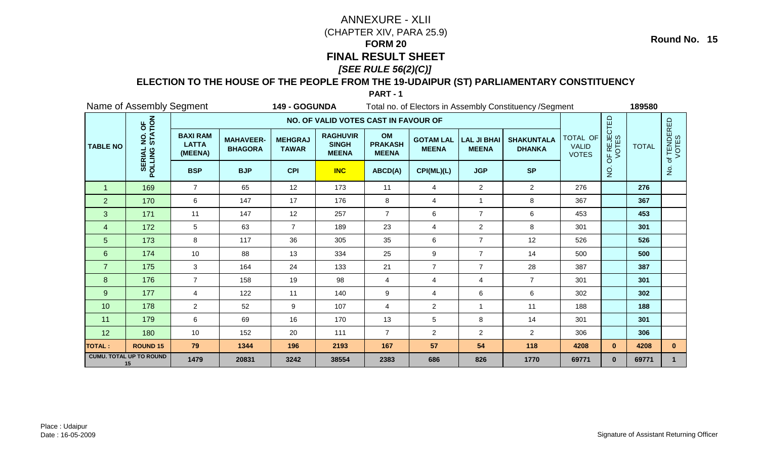### **ELECTION TO THE HOUSE OF THE PEOPLE FROM THE 19-UDAIPUR (ST) PARLIAMENTARY CONSTITUENCY**

**PART - 1**

|                 | Name of Assembly Segment                     |                                            |                                    |                                | Total no. of Electors in Assembly Constituency / Segment<br>149 - GOGUNDA |                                      |                                  |                                    |                                    |                                          |              | 189580                                                                                                                                                |                      |  |
|-----------------|----------------------------------------------|--------------------------------------------|------------------------------------|--------------------------------|---------------------------------------------------------------------------|--------------------------------------|----------------------------------|------------------------------------|------------------------------------|------------------------------------------|--------------|-------------------------------------------------------------------------------------------------------------------------------------------------------|----------------------|--|
|                 |                                              |                                            |                                    |                                | NO. OF VALID VOTES CAST IN FAVOUR OF                                      |                                      |                                  |                                    |                                    |                                          |              | OF REJECTED<br>VOTES<br><b>TOTAL</b><br>$\dot{Q}$<br>276<br>367<br>453<br>301<br>526<br>500<br>387<br>301<br>302<br>188<br>301<br>306<br>$\mathbf{0}$ |                      |  |
| <b>TABLE NO</b> | NO. OF<br>STATION                            | <b>BAXI RAM</b><br><b>LATTA</b><br>(MEENA) | <b>MAHAVEER-</b><br><b>BHAGORA</b> | <b>MEHGRAJ</b><br><b>TAWAR</b> | <b>RAGHUVIR</b><br><b>SINGH</b><br><b>MEENA</b>                           | OM<br><b>PRAKASH</b><br><b>MEENA</b> | <b>GOTAM LAL</b><br><b>MEENA</b> | <b>LAL JI BHAI</b><br><b>MEENA</b> | <b>SHAKUNTALA</b><br><b>DHANKA</b> | TOTAL OF<br><b>VALID</b><br><b>VOTES</b> |              |                                                                                                                                                       | of TENDERED<br>VOTES |  |
|                 | <b>SERIAL</b><br>POLLING                     | <b>BSP</b>                                 | <b>BJP</b>                         | <b>CPI</b>                     | <b>INC</b>                                                                | ABCD(A)                              | CPI(ML)(L)                       | <b>JGP</b>                         | <b>SP</b>                          |                                          |              |                                                                                                                                                       | $\frac{1}{2}$        |  |
| -1              | 169                                          | $\overline{7}$                             | 65                                 | 12                             | 173                                                                       | 11                                   | 4                                | $\overline{a}$                     | $\overline{2}$                     | 276                                      |              |                                                                                                                                                       |                      |  |
| $\overline{2}$  | 170                                          | 6                                          | 147                                | 17                             | 176                                                                       | 8                                    | 4                                | $\mathbf{1}$                       | 8                                  | 367                                      |              |                                                                                                                                                       |                      |  |
| 3               | 171                                          | 11                                         | 147                                | 12                             | 257                                                                       | $\overline{7}$                       | 6                                | $\overline{7}$                     | $\,6\,$                            | 453                                      |              |                                                                                                                                                       |                      |  |
| $\overline{4}$  | 172                                          | 5                                          | 63                                 | $\overline{7}$                 | 189                                                                       | 23                                   | 4                                | $\overline{a}$                     | 8                                  | 301                                      |              |                                                                                                                                                       |                      |  |
| 5               | 173                                          | 8                                          | 117                                | 36                             | 305                                                                       | 35                                   | 6                                | $\overline{7}$                     | 12                                 | 526                                      |              |                                                                                                                                                       |                      |  |
| $6\phantom{1}$  | 174                                          | 10                                         | 88                                 | 13                             | 334                                                                       | 25                                   | 9                                | $\overline{7}$                     | 14                                 | 500                                      |              |                                                                                                                                                       |                      |  |
| $\overline{7}$  | 175                                          | 3                                          | 164                                | 24                             | 133                                                                       | 21                                   | $\overline{7}$                   | $\overline{7}$                     | 28                                 | 387                                      |              |                                                                                                                                                       |                      |  |
| 8               | 176                                          | $\overline{7}$                             | 158                                | 19                             | 98                                                                        | 4                                    | 4                                | 4                                  | $\overline{7}$                     | 301                                      |              |                                                                                                                                                       |                      |  |
| $\overline{9}$  | 177                                          | 4                                          | 122                                | 11                             | 140                                                                       | 9                                    | 4                                | 6                                  | 6                                  | 302                                      |              |                                                                                                                                                       |                      |  |
| 10              | 178                                          | $\overline{2}$                             | 52                                 | 9                              | 107                                                                       | $\overline{4}$                       | $\overline{2}$                   | $\mathbf{1}$                       | 11                                 | 188                                      |              |                                                                                                                                                       |                      |  |
| 11              | 179                                          | 6                                          | 69                                 | 16                             | 170                                                                       | 13                                   | 5                                | 8                                  | 14                                 | 301                                      |              |                                                                                                                                                       |                      |  |
| 12              | 180                                          | 10                                         | 152                                | 20                             | 111                                                                       | $\overline{7}$                       | $\overline{2}$                   | $\overline{a}$                     | $\overline{2}$                     | 306                                      |              |                                                                                                                                                       |                      |  |
| <b>TOTAL:</b>   | <b>ROUND 15</b>                              | 79                                         | 1344                               | 196                            | 2193                                                                      | 167                                  | 57                               | 54                                 | 118                                | 4208                                     |              | 4208                                                                                                                                                  | $\mathbf{0}$         |  |
|                 | <b>CUMU. TOTAL UP TO ROUND</b><br>1479<br>15 |                                            | 20831                              | 3242                           | 38554                                                                     | 2383                                 | 686                              | 826                                | 1770                               | 69771                                    | $\mathbf{0}$ | 69771                                                                                                                                                 | $\mathbf{1}$         |  |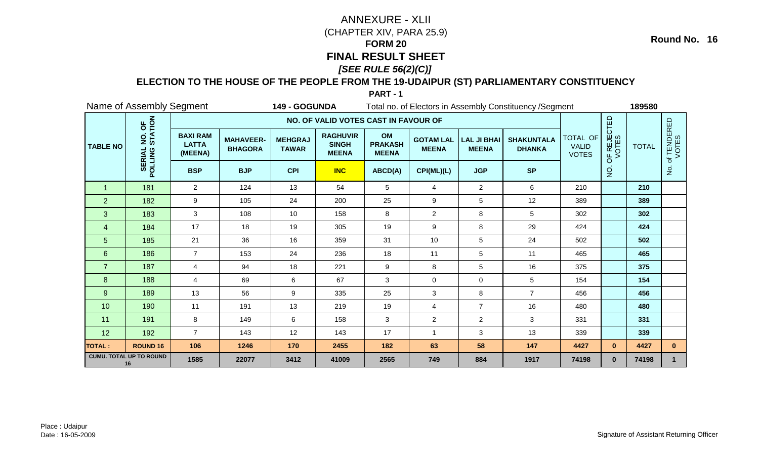### **ELECTION TO THE HOUSE OF THE PEOPLE FROM THE 19-UDAIPUR (ST) PARLIAMENTARY CONSTITUENCY**

**PART - 1**

|                 | Name of Assembly Segment             |                                            |                                    | 149 - GOGUNDA                  |                                                 |                                      |                                  |                                    | Total no. of Electors in Assembly Constituency / Segment |                                          |                      | 189580                                                                                                                                            |              |  |  |  |
|-----------------|--------------------------------------|--------------------------------------------|------------------------------------|--------------------------------|-------------------------------------------------|--------------------------------------|----------------------------------|------------------------------------|----------------------------------------------------------|------------------------------------------|----------------------|---------------------------------------------------------------------------------------------------------------------------------------------------|--------------|--|--|--|
|                 |                                      |                                            |                                    |                                | NO. OF VALID VOTES CAST IN FAVOUR OF            |                                      |                                  |                                    |                                                          |                                          |                      | of TENDERED<br>VOTES<br><b>TOTAL</b><br>$\frac{1}{2}$<br>210<br>389<br>302<br>424<br>502<br>465<br>375<br>154<br>456<br>480<br>331<br>339<br>4427 |              |  |  |  |
| <b>TABLE NO</b> | NO. OF<br>STATION                    | <b>BAXI RAM</b><br><b>LATTA</b><br>(MEENA) | <b>MAHAVEER-</b><br><b>BHAGORA</b> | <b>MEHGRAJ</b><br><b>TAWAR</b> | <b>RAGHUVIR</b><br><b>SINGH</b><br><b>MEENA</b> | OM<br><b>PRAKASH</b><br><b>MEENA</b> | <b>GOTAM LAL</b><br><b>MEENA</b> | <b>LAL JI BHAI</b><br><b>MEENA</b> | <b>SHAKUNTALA</b><br><b>DHANKA</b>                       | TOTAL OF<br><b>VALID</b><br><b>VOTES</b> | OF REJECTED<br>VOTES |                                                                                                                                                   |              |  |  |  |
|                 | <b>SERIAL</b><br>POLLING             | <b>BSP</b>                                 | <b>BJP</b>                         | <b>CPI</b>                     | <b>INC</b>                                      | ABCD(A)                              | CPI(ML)(L)                       | <b>JGP</b>                         | <b>SP</b>                                                |                                          | $\dot{Q}$            |                                                                                                                                                   |              |  |  |  |
| $\overline{1}$  | 181                                  | $\overline{2}$                             | 124                                | 13                             | 54                                              | 5                                    | 4                                | $\overline{2}$                     | 6                                                        | 210                                      |                      |                                                                                                                                                   |              |  |  |  |
| $\overline{2}$  | 182                                  | 9                                          | 105                                | 24                             | 200                                             | 25                                   | 9                                | 5                                  | 12                                                       | 389                                      |                      |                                                                                                                                                   |              |  |  |  |
| 3               | 183                                  | 3                                          | 108                                | 10                             | 158                                             | 8                                    | $\overline{c}$                   | 8                                  | $5\phantom{.0}$                                          | 302                                      |                      |                                                                                                                                                   |              |  |  |  |
| $\overline{4}$  | 184                                  | 17                                         | 18                                 | 19                             | 305                                             | 19                                   | 9                                | 8                                  | 29                                                       | 424                                      |                      |                                                                                                                                                   |              |  |  |  |
| 5               | 185                                  | 21                                         | 36                                 | 16                             | 359                                             | 31                                   | 10                               | 5                                  | 24                                                       | 502                                      |                      |                                                                                                                                                   |              |  |  |  |
| 6               | 186                                  | $\overline{7}$                             | 153                                | 24                             | 236                                             | 18                                   | 11                               | 5                                  | 11                                                       | 465                                      |                      |                                                                                                                                                   |              |  |  |  |
| $\overline{7}$  | 187                                  | $\overline{4}$                             | 94                                 | 18                             | 221                                             | 9                                    | 8                                | 5                                  | 16                                                       | 375                                      |                      |                                                                                                                                                   |              |  |  |  |
| 8               | 188                                  | $\overline{4}$                             | 69                                 | 6                              | 67                                              | $\mathbf{3}$                         | $\mathbf 0$                      | $\mathbf 0$                        | 5                                                        | 154                                      |                      |                                                                                                                                                   |              |  |  |  |
| 9               | 189                                  | 13                                         | 56                                 | 9                              | 335                                             | 25                                   | 3                                | $\,8\,$                            | $\overline{7}$                                           | 456                                      |                      |                                                                                                                                                   |              |  |  |  |
| 10              | 190                                  | 11                                         | 191                                | 13                             | 219                                             | 19                                   | 4                                | $\overline{7}$                     | 16                                                       | 480                                      |                      |                                                                                                                                                   |              |  |  |  |
| 11              | 191                                  | 8                                          | 149                                | 6                              | 158                                             | 3                                    | $\overline{c}$                   | $\overline{2}$                     | 3                                                        | 331                                      |                      |                                                                                                                                                   |              |  |  |  |
| 12              | 192                                  | $\overline{7}$                             | 143                                | 12                             | 143                                             | 17                                   | 1                                | 3                                  | 13                                                       | 339                                      |                      |                                                                                                                                                   |              |  |  |  |
| <b>TOTAL:</b>   | <b>ROUND 16</b>                      | 106                                        | 1246                               | 170                            | 2455                                            | 182                                  | 63                               | 58                                 | 147                                                      | 4427                                     | $\mathbf{0}$         |                                                                                                                                                   | $\mathbf{0}$ |  |  |  |
|                 | <b>CUMU. TOTAL UP TO ROUND</b><br>16 | 1585                                       | 22077                              | 3412                           | 41009                                           | 2565                                 | 749                              | 884                                | 1917                                                     | 74198                                    | $\mathbf{0}$         | 74198                                                                                                                                             | $\mathbf{1}$ |  |  |  |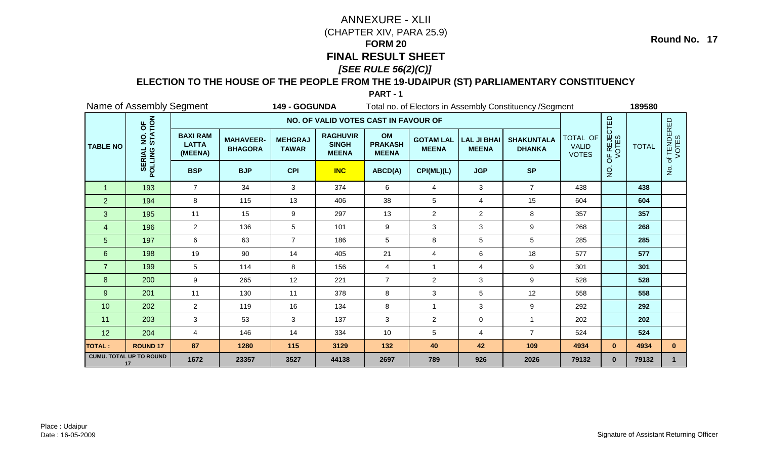### **ELECTION TO THE HOUSE OF THE PEOPLE FROM THE 19-UDAIPUR (ST) PARLIAMENTARY CONSTITUENCY**

**PART - 1**

|                 | Name of Assembly Segment<br>149 - GOGUNDA    |                                            |                                    |                                |                                                 |                                      |                                  | Total no. of Electors in Assembly Constituency / Segment | 189580                             |                                          |                                                                                                                                |       |                      |
|-----------------|----------------------------------------------|--------------------------------------------|------------------------------------|--------------------------------|-------------------------------------------------|--------------------------------------|----------------------------------|----------------------------------------------------------|------------------------------------|------------------------------------------|--------------------------------------------------------------------------------------------------------------------------------|-------|----------------------|
|                 |                                              |                                            |                                    |                                | NO. OF VALID VOTES CAST IN FAVOUR OF            |                                      |                                  |                                                          |                                    |                                          | OF REJECTED<br>VOTES<br><b>TOTAL</b><br>$\dot{Q}$<br>438<br>604<br>357<br>268<br>285<br>577<br>301<br>528<br>558<br>292<br>202 |       |                      |
| <b>TABLE NO</b> | NO. OF<br>STATION<br>$\overline{2}$          | <b>BAXI RAM</b><br><b>LATTA</b><br>(MEENA) | <b>MAHAVEER-</b><br><b>BHAGORA</b> | <b>MEHGRAJ</b><br><b>TAWAR</b> | <b>RAGHUVIR</b><br><b>SINGH</b><br><b>MEENA</b> | OM<br><b>PRAKASH</b><br><b>MEENA</b> | <b>GOTAM LAL</b><br><b>MEENA</b> | <b>LAL JI BHAI</b><br><b>MEENA</b>                       | <b>SHAKUNTALA</b><br><b>DHANKA</b> | TOTAL OF<br><b>VALID</b><br><b>VOTES</b> |                                                                                                                                |       | of TENDERED<br>VOTES |
|                 | <b>SERIAL</b><br>POLLING                     | <b>BSP</b>                                 | <b>BJP</b>                         | <b>CPI</b>                     | <b>INC</b>                                      | ABCD(A)                              | CPI(ML)(L)                       | <b>JGP</b>                                               | <b>SP</b>                          |                                          |                                                                                                                                |       | $\frac{1}{2}$        |
| -1              | 193                                          | $\overline{7}$                             | 34                                 | 3                              | 374                                             | 6                                    | 4                                | 3                                                        | $\overline{7}$                     | 438                                      |                                                                                                                                |       |                      |
| $\overline{2}$  | 194                                          | 8                                          | 115                                | 13                             | 406                                             | 38                                   | 5                                | 4                                                        | 15                                 | 604                                      |                                                                                                                                |       |                      |
| 3               | 195                                          | 11                                         | 15                                 | 9                              | 297                                             | 13                                   | $\overline{2}$                   | $\overline{2}$                                           | 8                                  | 357                                      |                                                                                                                                |       |                      |
| $\overline{4}$  | 196                                          | $\overline{2}$                             | 136                                | 5                              | 101                                             | 9                                    | 3                                | 3                                                        | 9                                  | 268                                      |                                                                                                                                |       |                      |
| 5               | 197                                          | 6                                          | 63                                 | $\overline{7}$                 | 186                                             | 5                                    | 8                                | 5                                                        | 5                                  | 285                                      |                                                                                                                                |       |                      |
| $6\phantom{1}$  | 198                                          | 19                                         | 90                                 | 14                             | 405                                             | 21                                   | 4                                | 6                                                        | 18                                 | 577                                      |                                                                                                                                |       |                      |
| $\overline{7}$  | 199                                          | 5                                          | 114                                | 8                              | 156                                             | $\overline{4}$                       | 1                                | 4                                                        | 9                                  | 301                                      |                                                                                                                                |       |                      |
| 8               | 200                                          | 9                                          | 265                                | 12                             | 221                                             | $\overline{7}$                       | $\overline{2}$                   | 3                                                        | 9                                  | 528                                      |                                                                                                                                |       |                      |
| $\overline{9}$  | 201                                          | 11                                         | 130                                | 11                             | 378                                             | $\,8\,$                              | 3                                | 5                                                        | 12                                 | 558                                      |                                                                                                                                |       |                      |
| 10              | 202                                          | $\overline{2}$                             | 119                                | 16                             | 134                                             | 8                                    | 1                                | 3                                                        | 9                                  | 292                                      |                                                                                                                                |       |                      |
| 11              | 203                                          | 3                                          | 53                                 | 3                              | 137                                             | 3                                    | $\overline{2}$                   | 0                                                        |                                    | 202                                      |                                                                                                                                |       |                      |
| 12              | 204                                          | $\overline{4}$                             | 146                                | 14                             | 334                                             | 10                                   | 5                                | 4                                                        | $\overline{7}$                     | 524                                      |                                                                                                                                | 524   |                      |
| <b>TOTAL:</b>   | <b>ROUND 17</b>                              | 87                                         | 1280                               | 115                            | 3129                                            | 132                                  | 40                               | 42                                                       | 109                                | 4934                                     | $\mathbf{0}$                                                                                                                   | 4934  | $\mathbf{0}$         |
|                 | <b>CUMU. TOTAL UP TO ROUND</b><br>1672<br>17 |                                            | 23357                              | 3527                           | 44138                                           | 2697                                 | 789                              | 926                                                      | 2026                               | 79132                                    | $\mathbf{0}$                                                                                                                   | 79132 | $\mathbf{1}$         |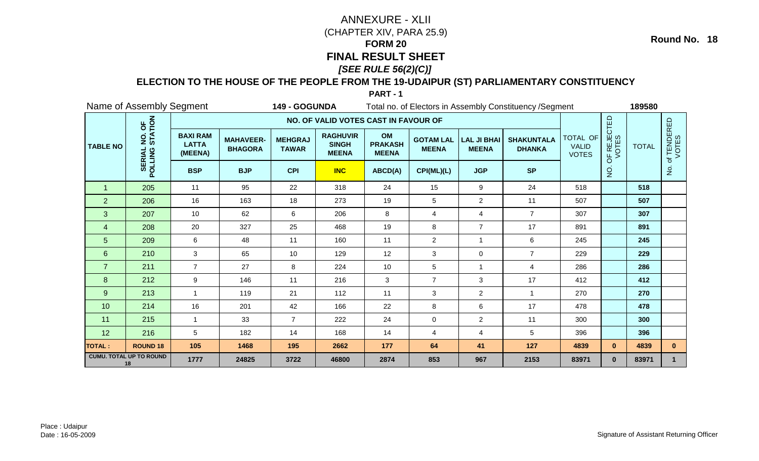### **ELECTION TO THE HOUSE OF THE PEOPLE FROM THE 19-UDAIPUR (ST) PARLIAMENTARY CONSTITUENCY**

**PART - 1**

|                 | Name of Assembly Segment             |                                            |                                    | 149 - GOGUNDA                  |                                                 |                                      |                                  | Total no. of Electors in Assembly Constituency / Segment | 189580                             |                                          |                      |              |                      |
|-----------------|--------------------------------------|--------------------------------------------|------------------------------------|--------------------------------|-------------------------------------------------|--------------------------------------|----------------------------------|----------------------------------------------------------|------------------------------------|------------------------------------------|----------------------|--------------|----------------------|
|                 |                                      |                                            |                                    |                                | NO. OF VALID VOTES CAST IN FAVOUR OF            |                                      |                                  |                                                          |                                    |                                          |                      |              |                      |
| <b>TABLE NO</b> | NO. OF<br>STATION                    | <b>BAXI RAM</b><br><b>LATTA</b><br>(MEENA) | <b>MAHAVEER-</b><br><b>BHAGORA</b> | <b>MEHGRAJ</b><br><b>TAWAR</b> | <b>RAGHUVIR</b><br><b>SINGH</b><br><b>MEENA</b> | OM<br><b>PRAKASH</b><br><b>MEENA</b> | <b>GOTAM LAL</b><br><b>MEENA</b> | <b>LAL JI BHAI</b><br><b>MEENA</b>                       | <b>SHAKUNTALA</b><br><b>DHANKA</b> | TOTAL OF<br><b>VALID</b><br><b>VOTES</b> | OF REJECTED<br>VOTES | <b>TOTAL</b> | of TENDERED<br>VOTES |
|                 | <b>SERIAL</b><br>POLLING             | <b>BSP</b>                                 | <b>BJP</b>                         | <b>CPI</b>                     | <b>INC</b>                                      | ABCD(A)                              | CPI(ML)(L)                       | <b>JGP</b>                                               | <b>SP</b>                          |                                          | $\dot{Q}$            |              | $\frac{1}{2}$        |
| $\overline{1}$  | 205                                  | 11                                         | 95                                 | 22                             | 318                                             | 24                                   | 15                               | $\boldsymbol{9}$                                         | 24                                 | 518                                      |                      | 518          |                      |
| $\overline{2}$  | 206                                  | 16                                         | 163                                | 18                             | 273                                             | 19                                   | 5                                | $\overline{2}$                                           | 11                                 | 507                                      |                      | 507          |                      |
| 3               | 207                                  | 10                                         | 62                                 | 6                              | 206                                             | 8                                    | 4                                | $\overline{\mathbf{4}}$                                  | $\overline{7}$                     | 307                                      |                      | 307          |                      |
| $\overline{4}$  | 208                                  | 20                                         | 327                                | 25                             | 468                                             | 19                                   | 8                                | $\overline{7}$                                           | 17                                 | 891                                      |                      | 891          |                      |
| 5               | 209                                  | 6                                          | 48                                 | 11                             | 160                                             | 11                                   | $\overline{2}$                   | $\mathbf{1}$                                             | 6                                  | 245                                      |                      | 245          |                      |
| 6               | 210                                  | 3                                          | 65                                 | 10                             | 129                                             | 12                                   | 3                                | 0                                                        | $\overline{7}$                     | 229                                      |                      | 229          |                      |
| $\overline{7}$  | 211                                  | $\overline{7}$                             | 27                                 | 8                              | 224                                             | 10                                   | 5                                | $\mathbf{1}$                                             | 4                                  | 286                                      |                      | 286          |                      |
| 8               | 212                                  | 9                                          | 146                                | 11                             | 216                                             | 3                                    | $\overline{7}$                   | 3                                                        | 17                                 | 412                                      |                      | 412          |                      |
| 9               | 213                                  | $\mathbf{1}$                               | 119                                | 21                             | 112                                             | 11                                   | 3                                | $\overline{2}$                                           | $\overline{1}$                     | 270                                      |                      | 270          |                      |
| 10              | 214                                  | 16                                         | 201                                | 42                             | 166                                             | 22                                   | 8                                | 6                                                        | 17                                 | 478                                      |                      | 478          |                      |
| 11              | 215                                  | 1                                          | 33                                 | $\overline{7}$                 | 222                                             | 24                                   | 0                                | $\overline{2}$                                           | 11                                 | 300                                      |                      | 300          |                      |
| 12              | 216                                  | 5                                          | 182                                | 14                             | 168                                             | 14                                   | 4                                | 4                                                        | 5                                  | 396                                      |                      | 396          |                      |
| <b>TOTAL:</b>   | <b>ROUND 18</b>                      | 105                                        | 1468                               | 195                            | 2662                                            | 177                                  | 64                               | 41                                                       | 127                                | 4839                                     | $\mathbf{0}$         | 4839         | $\mathbf{0}$         |
|                 | <b>CUMU. TOTAL UP TO ROUND</b><br>18 | 1777                                       | 24825                              | 3722                           | 46800                                           | 2874                                 | 853                              | 967                                                      | 2153                               | 83971                                    | $\mathbf{0}$         | 83971        | $\mathbf{1}$         |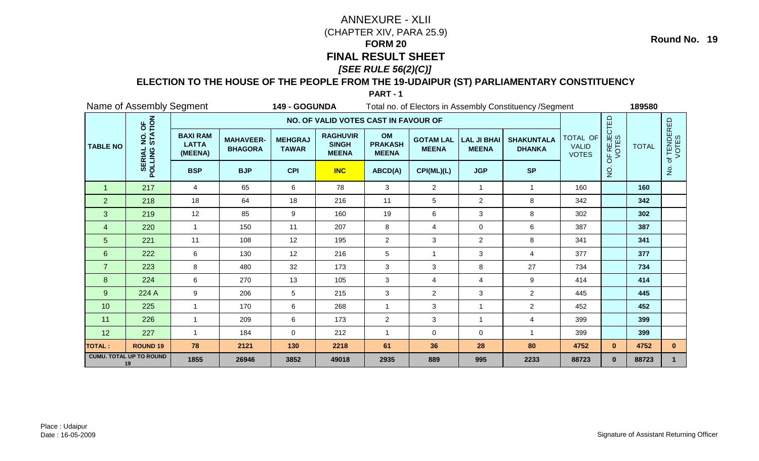### **ELECTION TO THE HOUSE OF THE PEOPLE FROM THE 19-UDAIPUR (ST) PARLIAMENTARY CONSTITUENCY**

**PART - 1**

|                 | Name of Assembly Segment<br>149 - GOGUNDA    |                                            |                                    |                                |                                                 |                                      | Total no. of Electors in Assembly Constituency / Segment | 189580                             |                                    |                                          |              |                                                                                                                                       |                      |
|-----------------|----------------------------------------------|--------------------------------------------|------------------------------------|--------------------------------|-------------------------------------------------|--------------------------------------|----------------------------------------------------------|------------------------------------|------------------------------------|------------------------------------------|--------------|---------------------------------------------------------------------------------------------------------------------------------------|----------------------|
|                 |                                              |                                            |                                    |                                | NO. OF VALID VOTES CAST IN FAVOUR OF            |                                      |                                                          |                                    |                                    |                                          |              | OF REJECTED<br>VOTES<br><b>TOTAL</b><br>$\dot{Q}$<br>160<br>342<br>302<br>387<br>341<br>377<br>734<br>414<br>445<br>452<br>399<br>399 |                      |
| <b>TABLE NO</b> | NO. OF<br>STATION<br>$\overline{2}$          | <b>BAXI RAM</b><br><b>LATTA</b><br>(MEENA) | <b>MAHAVEER-</b><br><b>BHAGORA</b> | <b>MEHGRAJ</b><br><b>TAWAR</b> | <b>RAGHUVIR</b><br><b>SINGH</b><br><b>MEENA</b> | OM<br><b>PRAKASH</b><br><b>MEENA</b> | <b>GOTAM LAL</b><br><b>MEENA</b>                         | <b>LAL JI BHAI</b><br><b>MEENA</b> | <b>SHAKUNTALA</b><br><b>DHANKA</b> | TOTAL OF<br><b>VALID</b><br><b>VOTES</b> |              |                                                                                                                                       | of TENDERED<br>VOTES |
|                 | <b>SERIAL</b><br>POLLING                     | <b>BSP</b>                                 | <b>BJP</b>                         | <b>CPI</b>                     | <b>INC</b>                                      | ABCD(A)                              | CPI(ML)(L)                                               | <b>JGP</b>                         | <b>SP</b>                          |                                          |              |                                                                                                                                       | $\frac{1}{2}$        |
| -1              | 217                                          | $\overline{4}$                             | 65                                 | 6                              | 78                                              | 3                                    | $\overline{2}$                                           | $\mathbf{1}$                       | $\overline{1}$                     | 160                                      |              |                                                                                                                                       |                      |
| $\overline{2}$  | 218                                          | 18                                         | 64                                 | 18                             | 216                                             | 11                                   | 5                                                        | $\overline{2}$                     | 8                                  | 342                                      |              |                                                                                                                                       |                      |
| 3               | 219                                          | 12                                         | 85                                 | 9                              | 160                                             | 19                                   | 6                                                        | 3                                  | 8                                  | 302                                      |              |                                                                                                                                       |                      |
| $\overline{4}$  | 220                                          | $\mathbf{1}$                               | 150                                | 11                             | 207                                             | 8                                    | 4                                                        | 0                                  | 6                                  | 387                                      |              |                                                                                                                                       |                      |
| 5               | 221                                          | 11                                         | 108                                | 12                             | 195                                             | $\overline{2}$                       | 3                                                        | $\overline{a}$                     | 8                                  | 341                                      |              |                                                                                                                                       |                      |
| $6\phantom{1}$  | 222                                          | 6                                          | 130                                | 12                             | 216                                             | 5                                    | 1                                                        | 3                                  | $\overline{4}$                     | 377                                      |              |                                                                                                                                       |                      |
| $\overline{7}$  | 223                                          | 8                                          | 480                                | 32                             | 173                                             | 3                                    | 3                                                        | 8                                  | 27                                 | 734                                      |              |                                                                                                                                       |                      |
| 8               | 224                                          | 6                                          | 270                                | 13                             | 105                                             | $\mathbf{3}$                         | 4                                                        | 4                                  | 9                                  | 414                                      |              |                                                                                                                                       |                      |
| $\overline{9}$  | 224 A                                        | 9                                          | 206                                | 5                              | 215                                             | 3                                    | $\overline{c}$                                           | $\mathbf{3}$                       | $\overline{2}$                     | 445                                      |              |                                                                                                                                       |                      |
| 10              | 225                                          | $\mathbf{1}$                               | 170                                | 6                              | 268                                             | $\mathbf{1}$                         | 3                                                        | $\mathbf{1}$                       | $\overline{2}$                     | 452                                      |              |                                                                                                                                       |                      |
| 11              | 226                                          | $\mathbf 1$                                | 209                                | 6                              | 173                                             | $\overline{c}$                       | 3                                                        | -1                                 | 4                                  | 399                                      |              |                                                                                                                                       |                      |
| 12              | 227                                          | $\overline{1}$                             | 184                                | 0                              | 212                                             | $\overline{1}$                       | 0                                                        | $\mathbf 0$                        | $\overline{1}$                     | 399                                      |              |                                                                                                                                       |                      |
| <b>TOTAL:</b>   | <b>ROUND 19</b>                              | 78                                         | 2121                               | 130                            | 2218                                            | 61                                   | 36                                                       | 28                                 | 80                                 | 4752                                     | $\mathbf{0}$ | 4752                                                                                                                                  | $\mathbf{0}$         |
|                 | <b>CUMU. TOTAL UP TO ROUND</b><br>1855<br>19 |                                            | 26946                              | 3852                           | 49018                                           | 2935                                 | 889                                                      | 995                                | 2233                               | 88723                                    | $\mathbf{0}$ | 88723                                                                                                                                 |                      |